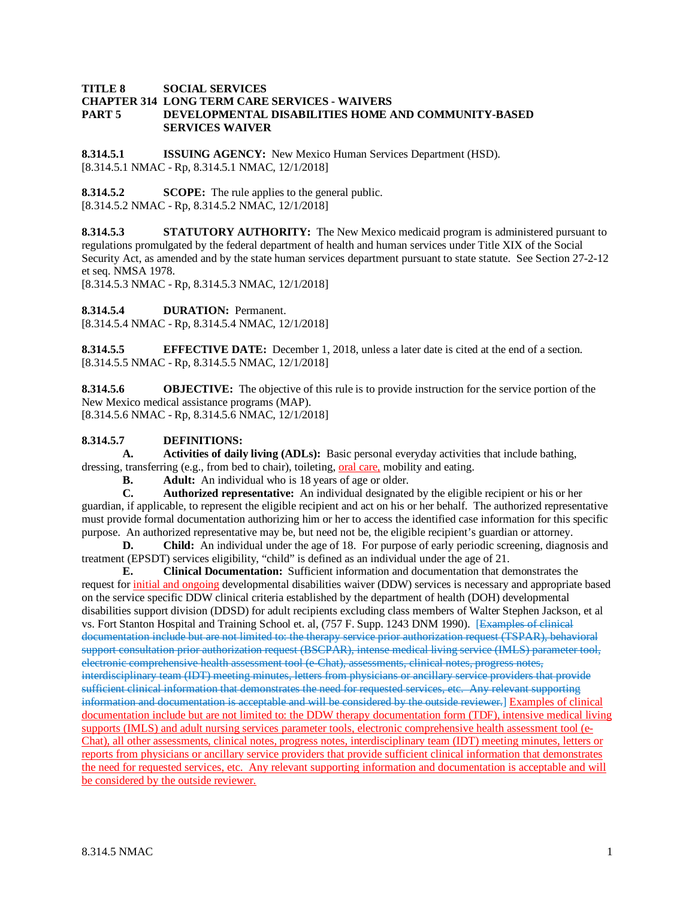### **TITLE 8 SOCIAL SERVICES CHAPTER 314 LONG TERM CARE SERVICES - WAIVERS DEVELOPMENTAL DISABILITIES HOME AND COMMUNITY-BASED SERVICES WAIVER**

**8.314.5.1 ISSUING AGENCY:** New Mexico Human Services Department (HSD). [8.314.5.1 NMAC - Rp, 8.314.5.1 NMAC, 12/1/2018]

**8.314.5.2 SCOPE:** The rule applies to the general public. [8.314.5.2 NMAC - Rp, 8.314.5.2 NMAC, 12/1/2018]

**8.314.5.3 STATUTORY AUTHORITY:** The New Mexico medicaid program is administered pursuant to regulations promulgated by the federal department of health and human services under Title XIX of the Social Security Act, as amended and by the state human services department pursuant to state statute. See Section 27-2-12 et seq. NMSA 1978.

[8.314.5.3 NMAC - Rp, 8.314.5.3 NMAC, 12/1/2018]

**8.314.5.4 DURATION:** Permanent.

[8.314.5.4 NMAC - Rp, 8.314.5.4 NMAC, 12/1/2018]

**8.314.5.5 EFFECTIVE DATE:** December 1, 2018, unless a later date is cited at the end of a section. [8.314.5.5 NMAC - Rp, 8.314.5.5 NMAC, 12/1/2018]

**8.314.5.6 OBJECTIVE:** The objective of this rule is to provide instruction for the service portion of the New Mexico medical assistance programs (MAP). [8.314.5.6 NMAC - Rp, 8.314.5.6 NMAC, 12/1/2018]

## **8.314.5.7 DEFINITIONS:**

**A. Activities of daily living (ADLs):** Basic personal everyday activities that include bathing, dressing, transferring (e.g., from bed to chair), toileting, <u>oral care</u>, mobility and eating.<br>**B.** Adult: An individual who is 18 years of age or older.

**B. Adult:** An individual who is 18 years of age or older.<br>**C. Authorized representative:** An individual designated

**C. Authorized representative:** An individual designated by the eligible recipient or his or her guardian, if applicable, to represent the eligible recipient and act on his or her behalf. The authorized representative must provide formal documentation authorizing him or her to access the identified case information for this specific purpose. An authorized representative may be, but need not be, the eligible recipient's guardian or attorney.

**D. Child:** An individual under the age of 18. For purpose of early periodic screening, diagnosis and treatment (EPSDT) services eligibility, "child" is defined as an individual under the age of 21.

**E. Clinical Documentation:** Sufficient information and documentation that demonstrates the request for initial and ongoing developmental disabilities waiver (DDW) services is necessary and appropriate based on the service specific DDW clinical criteria established by the department of health (DOH) developmental disabilities support division (DDSD) for adult recipients excluding class members of Walter Stephen Jackson, et al vs. Fort Stanton Hospital and Training School et. al, (757 F. Supp. 1243 DNM 1990). [Examples of clinical documentation include but are not limited to: the therapy service prior authorization request (TSPAR), behavioral support consultation prior authorization request (BSCPAR), intense medical living service (IMLS) parameter tool, electronic comprehensive health assessment tool (e-Chat), assessments, clinical notes, progress notes, interdisciplinary team (IDT) meeting minutes, letters from physicians or ancillary service providers that provide sufficient clinical information that demonstrates the need for requested services, etc. Any relevant supporting information and documentation is acceptable and will be considered by the outside reviewer.] Examples of clinical documentation include but are not limited to: the DDW therapy documentation form (TDF), intensive medical living supports (IMLS) and adult nursing services parameter tools, electronic comprehensive health assessment tool (e-Chat), all other assessments, clinical notes, progress notes, interdisciplinary team (IDT) meeting minutes, letters or reports from physicians or ancillary service providers that provide sufficient clinical information that demonstrates the need for requested services, etc. Any relevant supporting information and documentation is acceptable and will be considered by the outside reviewer.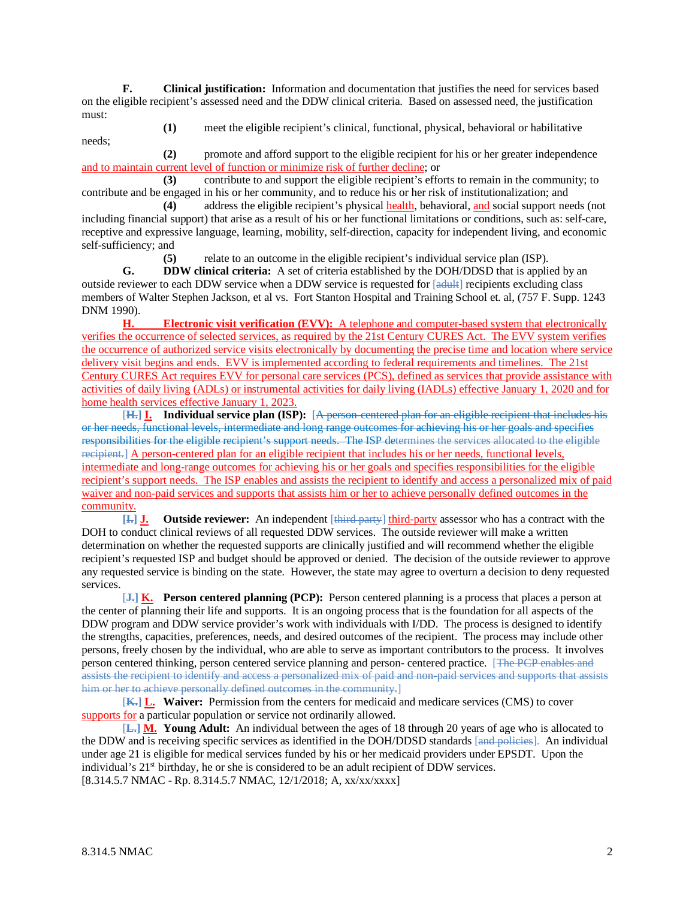**F. Clinical justification:** Information and documentation that justifies the need for services based on the eligible recipient's assessed need and the DDW clinical criteria. Based on assessed need, the justification must:

needs;

**(1)** meet the eligible recipient's clinical, functional, physical, behavioral or habilitative

**(2)** promote and afford support to the eligible recipient for his or her greater independence and to maintain current level of function or minimize risk of further decline; or

**(3)** contribute to and support the eligible recipient's efforts to remain in the community; to contribute and be engaged in his or her community, and to reduce his or her risk of institutionalization; and

**(4)** address the eligible recipient's physical health, behavioral, and social support needs (not including financial support) that arise as a result of his or her functional limitations or conditions, such as: self-care, receptive and expressive language, learning, mobility, self-direction, capacity for independent living, and economic self-sufficiency; and

**(5)** relate to an outcome in the eligible recipient's individual service plan (ISP).

**G. DDW clinical criteria:** A set of criteria established by the DOH/DDSD that is applied by an outside reviewer to each DDW service when a DDW service is requested for [adult] recipients excluding class members of Walter Stephen Jackson, et al vs. Fort Stanton Hospital and Training School et. al, (757 F. Supp. 1243 DNM 1990).

**H. Electronic visit verification (EVV):** A telephone and computer-based system that electronically verifies the occurrence of selected services, as required by the 21st Century CURES Act. The EVV system verifies the occurrence of authorized service visits electronically by documenting the precise time and location where service delivery visit begins and ends. EVV is implemented according to federal requirements and timelines. The 21st Century CURES Act requires EVV for personal care services (PCS), defined as services that provide assistance with activities of daily living (ADLs) or instrumental activities for daily living (IADLs) effective January 1, 2020 and for home health services effective January 1, 2023.

[**H.] I. Individual service plan (ISP):** [A person-centered plan for an eligible recipient that includes his or her needs, functional levels, intermediate and long range outcomes for achieving his or her goals and specifies responsibilities for the eligible recipient's support needs. The ISP determines the services allocated to the eligible recipient.] A person-centered plan for an eligible recipient that includes his or her needs, functional levels, intermediate and long-range outcomes for achieving his or her goals and specifies responsibilities for the eligible recipient's support needs. The ISP enables and assists the recipient to identify and access a personalized mix of paid waiver and non-paid services and supports that assists him or her to achieve personally defined outcomes in the community.

**[I.] J. Outside reviewer:** An independent [third party] third-party assessor who has a contract with the DOH to conduct clinical reviews of all requested DDW services. The outside reviewer will make a written determination on whether the requested supports are clinically justified and will recommend whether the eligible recipient's requested ISP and budget should be approved or denied. The decision of the outside reviewer to approve any requested service is binding on the state. However, the state may agree to overturn a decision to deny requested services.

[**J.] K. Person centered planning (PCP):** Person centered planning is a process that places a person at the center of planning their life and supports. It is an ongoing process that is the foundation for all aspects of the DDW program and DDW service provider's work with individuals with I/DD. The process is designed to identify the strengths, capacities, preferences, needs, and desired outcomes of the recipient. The process may include other persons, freely chosen by the individual, who are able to serve as important contributors to the process. It involves person centered thinking, person centered service planning and person- centered practice. [The PCP enables and assists the recipient to identify and access a personalized mix of paid and non-paid services and supports that assists him or her to achieve personally defined outcomes in the community.

[**K.] L. Waiver:** Permission from the centers for medicaid and medicare services (CMS) to cover supports for a particular population or service not ordinarily allowed.

[**L.] M. Young Adult:** An individual between the ages of 18 through 20 years of age who is allocated to the DDW and is receiving specific services as identified in the DOH/DDSD standards [and policies]. An individual under age 21 is eligible for medical services funded by his or her medicaid providers under EPSDT. Upon the individual's 21<sup>st</sup> birthday, he or she is considered to be an adult recipient of DDW services. [8.314.5.7 NMAC - Rp. 8.314.5.7 NMAC, 12/1/2018; A, xx/xx/xxxx]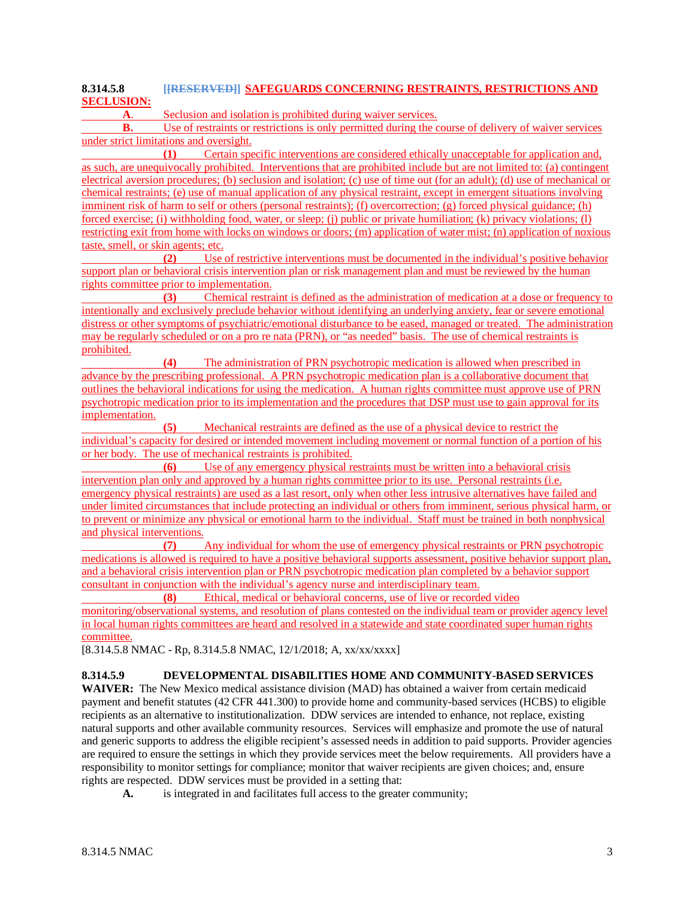# **8.314.5.8 [[RESERVED]] SAFEGUARDS CONCERNING RESTRAINTS, RESTRICTIONS AND SECLUSION:**

**A**. Seclusion and isolation is prohibited during waiver services.

**B.** Use of restraints or restrictions is only permitted during the course of delivery of waiver services under strict limitations and oversight.

**(1)** Certain specific interventions are considered ethically unacceptable for application and, as such, are unequivocally prohibited. Interventions that are prohibited include but are not limited to: (a) contingent electrical aversion procedures; (b) seclusion and isolation; (c) use of time out (for an adult); (d) use of mechanical or chemical restraints; (e) use of manual application of any physical restraint, except in emergent situations involving imminent risk of harm to self or others (personal restraints); (f) overcorrection; (g) forced physical guidance; (h) forced exercise; (i) withholding food, water, or sleep; (j) public or private humiliation; (k) privacy violations; (l) restricting exit from home with locks on windows or doors; (m) application of water mist; (n) application of noxious taste, smell, or skin agents; etc.

**(2)** Use of restrictive interventions must be documented in the individual's positive behavior support plan or behavioral crisis intervention plan or risk management plan and must be reviewed by the human rights committee prior to implementation.

**(3)** Chemical restraint is defined as the administration of medication at a dose or frequency to intentionally and exclusively preclude behavior without identifying an underlying anxiety, fear or severe emotional distress or other symptoms of psychiatric/emotional disturbance to be eased, managed or treated. The administration may be regularly scheduled or on a pro re nata (PRN), or "as needed" basis. The use of chemical restraints is prohibited.

**(4)** The administration of PRN psychotropic medication is allowed when prescribed in advance by the prescribing professional. A PRN psychotropic medication plan is a collaborative document that outlines the behavioral indications for using the medication. A human rights committee must approve use of PRN psychotropic medication prior to its implementation and the procedures that DSP must use to gain approval for its implementation.

**(5)** Mechanical restraints are defined as the use of a physical device to restrict the individual's capacity for desired or intended movement including movement or normal function of a portion of his or her body. The use of mechanical restraints is prohibited.

**(6)** Use of any emergency physical restraints must be written into a behavioral crisis intervention plan only and approved by a human rights committee prior to its use. Personal restraints (i.e. emergency physical restraints) are used as a last resort, only when other less intrusive alternatives have failed and under limited circumstances that include protecting an individual or others from imminent, serious physical harm, or to prevent or minimize any physical or emotional harm to the individual. Staff must be trained in both nonphysical and physical interventions.

**(7)** Any individual for whom the use of emergency physical restraints or PRN psychotropic medications is allowed is required to have a positive behavioral supports assessment, positive behavior support plan, and a behavioral crisis intervention plan or PRN psychotropic medication plan completed by a behavior support consultant in conjunction with the individual's agency nurse and interdisciplinary team.

**(8)** Ethical, medical or behavioral concerns, use of live or recorded video

monitoring/observational systems, and resolution of plans contested on the individual team or provider agency level in local human rights committees are heard and resolved in a statewide and state coordinated super human rights committee.

[8.314.5.8 NMAC - Rp, 8.314.5.8 NMAC, 12/1/2018; A, xx/xx/xxxx]

## **8.314.5.9 DEVELOPMENTAL DISABILITIES HOME AND COMMUNITY-BASED SERVICES**

**WAIVER:** The New Mexico medical assistance division (MAD) has obtained a waiver from certain medicaid payment and benefit statutes (42 CFR 441.300) to provide home and community-based services (HCBS) to eligible recipients as an alternative to institutionalization. DDW services are intended to enhance, not replace, existing natural supports and other available community resources. Services will emphasize and promote the use of natural and generic supports to address the eligible recipient's assessed needs in addition to paid supports. Provider agencies are required to ensure the settings in which they provide services meet the below requirements. All providers have a responsibility to monitor settings for compliance; monitor that waiver recipients are given choices; and, ensure rights are respected. DDW services must be provided in a setting that:

**A.** is integrated in and facilitates full access to the greater community;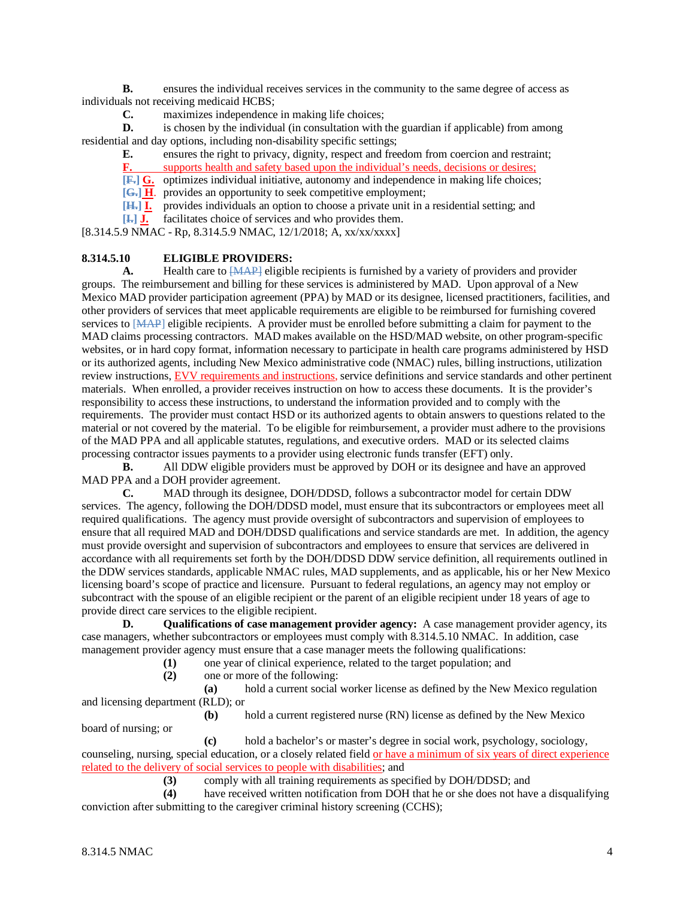**B.** ensures the individual receives services in the community to the same degree of access as individuals not receiving medicaid HCBS;

**C.** maximizes independence in making life choices;

**D.** is chosen by the individual (in consultation with the guardian if applicable) from among residential and day options, including non-disability specific settings;

**E.** ensures the right to privacy, dignity, respect and freedom from coercion and restraint;

**F.** supports health and safety based upon the individual's needs, decisions or desires;

**[F.] G.** optimizes individual initiative, autonomy and independence in making life choices;

**[G.] H**. provides an opportunity to seek competitive employment;

**[H.] I.** provides individuals an option to choose a private unit in a residential setting; and

**[I.] J.** facilitates choice of services and who provides them.

[8.314.5.9 NMAC - Rp, 8.314.5.9 NMAC, 12/1/2018; A, xx/xx/xxxx]

### **8.314.5.10 ELIGIBLE PROVIDERS:**

A. Health care to  $\overline{[MAP]}$  eligible recipients is furnished by a variety of providers and provider groups. The reimbursement and billing for these services is administered by MAD. Upon approval of a New Mexico MAD provider participation agreement (PPA) by MAD or its designee, licensed practitioners, facilities, and other providers of services that meet applicable requirements are eligible to be reimbursed for furnishing covered services to [MAP] eligible recipients. A provider must be enrolled before submitting a claim for payment to the MAD claims processing contractors. MAD makes available on the HSD/MAD website, on other program-specific websites, or in hard copy format, information necessary to participate in health care programs administered by HSD or its authorized agents, including New Mexico administrative code (NMAC) rules, billing instructions, utilization review instructions, EVV requirements and instructions, service definitions and service standards and other pertinent materials. When enrolled, a provider receives instruction on how to access these documents. It is the provider's responsibility to access these instructions, to understand the information provided and to comply with the requirements. The provider must contact HSD or its authorized agents to obtain answers to questions related to the material or not covered by the material. To be eligible for reimbursement, a provider must adhere to the provisions of the MAD PPA and all applicable statutes, regulations, and executive orders. MAD or its selected claims processing contractor issues payments to a provider using electronic funds transfer (EFT) only.

**B.** All DDW eligible providers must be approved by DOH or its designee and have an approved MAD PPA and a DOH provider agreement.

**C.** MAD through its designee, DOH/DDSD, follows a subcontractor model for certain DDW services. The agency, following the DOH/DDSD model, must ensure that its subcontractors or employees meet all required qualifications. The agency must provide oversight of subcontractors and supervision of employees to ensure that all required MAD and DOH/DDSD qualifications and service standards are met. In addition, the agency must provide oversight and supervision of subcontractors and employees to ensure that services are delivered in accordance with all requirements set forth by the DOH/DDSD DDW service definition, all requirements outlined in the DDW services standards, applicable NMAC rules, MAD supplements, and as applicable, his or her New Mexico licensing board's scope of practice and licensure. Pursuant to federal regulations, an agency may not employ or subcontract with the spouse of an eligible recipient or the parent of an eligible recipient under 18 years of age to provide direct care services to the eligible recipient.<br> **D.** Oualifications of case management

**Qualifications of case management provider agency:** A case management provider agency, its case managers, whether subcontractors or employees must comply with 8.314.5.10 NMAC. In addition, case management provider agency must ensure that a case manager meets the following qualifications:

(1) one year of clinical experience, related to the target population; and one or more of the following:

**(2)** one or more of the following:

**(a)** hold a current social worker license as defined by the New Mexico regulation and licensing department (RLD); or

**(b)** hold a current registered nurse (RN) license as defined by the New Mexico board of nursing; or

**(c)** hold a bachelor's or master's degree in social work, psychology, sociology, counseling, nursing, special education, or a closely related field or have a minimum of six years of direct experience related to the delivery of social services to people with disabilities; and

(3) comply with all training requirements as specified by DOH/DDSD; and have received written notification from DOH that he or she does not have

have received written notification from DOH that he or she does not have a disqualifying conviction after submitting to the caregiver criminal history screening (CCHS);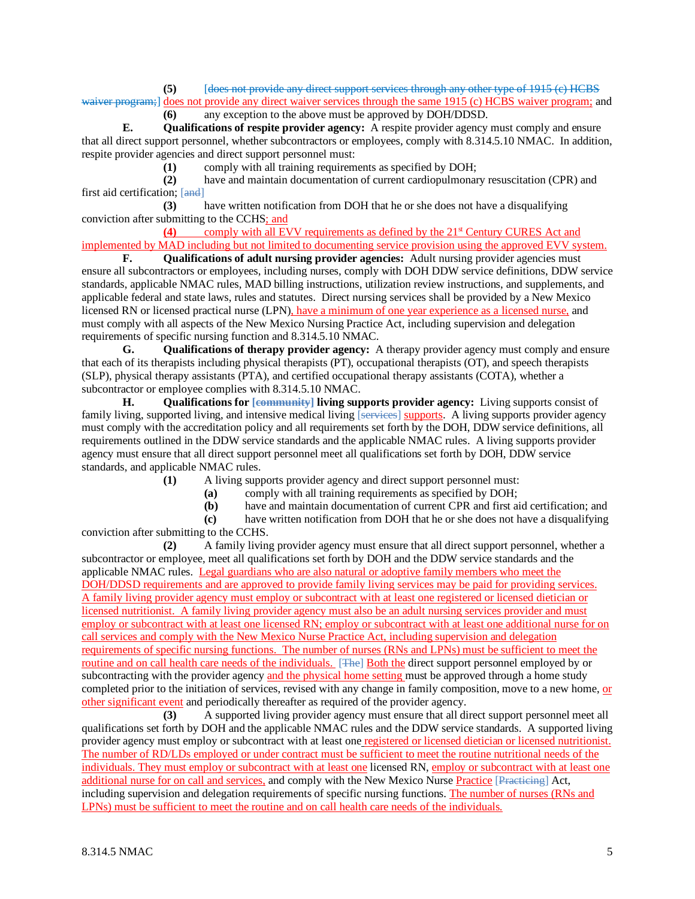**(5)** [does not provide any direct support services through any other type of 1915 (c) HCBS waiver program;] does not provide any direct waiver services through the same 1915 (c) HCBS waiver program; and

**(6)** any exception to the above must be approved by DOH/DDSD.

**E. Qualifications of respite provider agency:** A respite provider agency must comply and ensure that all direct support personnel, whether subcontractors or employees, comply with 8.314.5.10 NMAC. In addition, respite provider agencies and direct support personnel must:

**(1)** comply with all training requirements as specified by DOH;

**(2)** have and maintain documentation of current cardiopulmonary resuscitation (CPR) and first aid certification; [and]

**(3)** have written notification from DOH that he or she does not have a disqualifying conviction after submitting to the CCHS; and

**(4)** comply with all EVV requirements as defined by the 21<sup>st</sup> Century CURES Act and implemented by MAD including but not limited to documenting service provision using the approved EVV system.<br> **F.** Oualifications of adult nursing provider agencies: Adult nursing provider agencies must

**Qualifications of adult nursing provider agencies:** Adult nursing provider agencies must ensure all subcontractors or employees, including nurses, comply with DOH DDW service definitions, DDW service standards, applicable NMAC rules, MAD billing instructions, utilization review instructions, and supplements, and applicable federal and state laws, rules and statutes. Direct nursing services shall be provided by a New Mexico licensed RN or licensed practical nurse (LPN), have a minimum of one year experience as a licensed nurse, and must comply with all aspects of the New Mexico Nursing Practice Act, including supervision and delegation requirements of specific nursing function and 8.314.5.10 NMAC.

**G. Qualifications of therapy provider agency:** A therapy provider agency must comply and ensure that each of its therapists including physical therapists (PT), occupational therapists (OT), and speech therapists (SLP), physical therapy assistants (PTA), and certified occupational therapy assistants (COTA), whether a subcontractor or employee complies with 8.314.5.10 NMAC.

**H. Qualifications for [community] living supports provider agency:** Living supports consist of family living, supported living, and intensive medical living [services] supports. A living supports provider agency must comply with the accreditation policy and all requirements set forth by the DOH, DDW service definitions, all requirements outlined in the DDW service standards and the applicable NMAC rules. A living supports provider agency must ensure that all direct support personnel meet all qualifications set forth by DOH, DDW service standards, and applicable NMAC rules.

**(1)** A living supports provider agency and direct support personnel must:

**(a)** comply with all training requirements as specified by DOH;

**(b)** have and maintain documentation of current CPR and first aid certification; and

**(c)** have written notification from DOH that he or she does not have a disqualifying conviction after submitting to the CCHS.

**(2)** A family living provider agency must ensure that all direct support personnel, whether a subcontractor or employee, meet all qualifications set forth by DOH and the DDW service standards and the applicable NMAC rules. Legal guardians who are also natural or adoptive family members who meet the DOH/DDSD requirements and are approved to provide family living services may be paid for providing services. A family living provider agency must employ or subcontract with at least one registered or licensed dietician or licensed nutritionist. A family living provider agency must also be an adult nursing services provider and must employ or subcontract with at least one licensed RN; employ or subcontract with at least one additional nurse for on call services and comply with the New Mexico Nurse Practice Act, including supervision and delegation requirements of specific nursing functions. The number of nurses (RNs and LPNs) must be sufficient to meet the routine and on call health care needs of the individuals. [The] Both the direct support personnel employed by or subcontracting with the provider agency and the physical home setting must be approved through a home study completed prior to the initiation of services, revised with any change in family composition, move to a new home, or other significant event and periodically thereafter as required of the provider agency.

**(3)** A supported living provider agency must ensure that all direct support personnel meet all qualifications set forth by DOH and the applicable NMAC rules and the DDW service standards. A supported living provider agency must employ or subcontract with at least one registered or licensed dietician or licensed nutritionist. The number of RD/LDs employed or under contract must be sufficient to meet the routine nutritional needs of the individuals. They must employ or subcontract with at least one licensed RN, employ or subcontract with at least one additional nurse for on call and services, and comply with the New Mexico Nurse Practice [Practicing] Act, including supervision and delegation requirements of specific nursing functions. The number of nurses (RNs and LPNs) must be sufficient to meet the routine and on call health care needs of the individuals.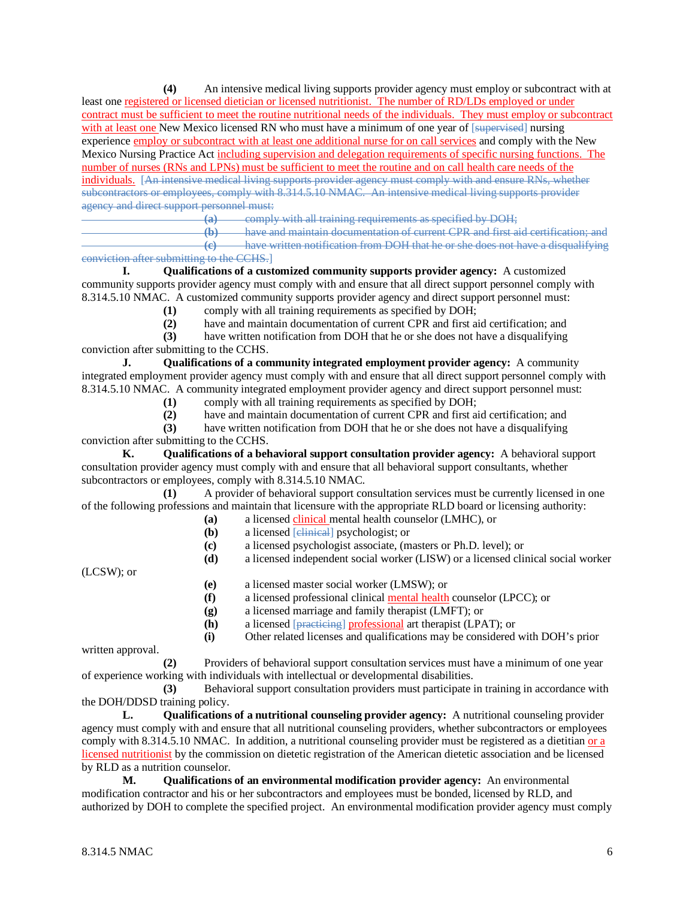**(4)** An intensive medical living supports provider agency must employ or subcontract with at least one registered or licensed dietician or licensed nutritionist. The number of RD/LDs employed or under contract must be sufficient to meet the routine nutritional needs of the individuals. They must employ or subcontract with at least one New Mexico licensed RN who must have a minimum of one year of [supervised] nursing experience employ or subcontract with at least one additional nurse for on call services and comply with the New Mexico Nursing Practice Act including supervision and delegation requirements of specific nursing functions. The number of nurses (RNs and LPNs) must be sufficient to meet the routine and on call health care needs of the individuals. [An intensive medical living supports provider agency must comply with and ensure RNs, whether subcontractors or employees, comply with 8.314.5.10 NMAC. An intensive medical living supports provider agency and direct support personnel must:

**(a)** comply with all training requirements as specified by DOH;<br>**(b)** have and maintain documentation of current CPR and first a

have and maintain documentation of current CPR and first aid certification; and **(c)** have written notification from DOH that he or she does not have a disqualifying

#### conviction after submitting to the CCHS.]

**I. Qualifications of a customized community supports provider agency:** A customized community supports provider agency must comply with and ensure that all direct support personnel comply with 8.314.5.10 NMAC. A customized community supports provider agency and direct support personnel must:

**(1)** comply with all training requirements as specified by DOH;

**(2)** have and maintain documentation of current CPR and first aid certification; and

**(3)** have written notification from DOH that he or she does not have a disqualifying conviction after submitting to the CCHS.

**J. Qualifications of a community integrated employment provider agency:** A community integrated employment provider agency must comply with and ensure that all direct support personnel comply with 8.314.5.10 NMAC. A community integrated employment provider agency and direct support personnel must:

**(1)** comply with all training requirements as specified by DOH;

**(2)** have and maintain documentation of current CPR and first aid certification; and

**(3)** have written notification from DOH that he or she does not have a disqualifying conviction after submitting to the CCHS.

**K. Qualifications of a behavioral support consultation provider agency:** A behavioral support consultation provider agency must comply with and ensure that all behavioral support consultants, whether subcontractors or employees, comply with 8.314.5.10 NMAC.

**(1)** A provider of behavioral support consultation services must be currently licensed in one of the following professions and maintain that licensure with the appropriate RLD board or licensing authority:

- **(a)** a licensed clinical mental health counselor (LMHC), or
	- **(b)** a licensed [*elinical*] psychologist; or
	- **(c)** a licensed psychologist associate, (masters or Ph.D. level); or

**(d)** a licensed independent social worker (LISW) or a licensed clinical social worker

(LCSW); or

- **(e)** a licensed master social worker (LMSW); or
- **(f)** a licensed professional clinical mental health counselor (LPCC); or
- **(g)** a licensed marriage and family therapist (LMFT); or
- 
- **(h)** a licensed [**practicing**] professional art therapist (LPAT); or **(i)** Other related licenses and qualifications may be considered **(i)** Other related licenses and qualifications may be considered with DOH's prior

written approval.

**(2)** Providers of behavioral support consultation services must have a minimum of one year of experience working with individuals with intellectual or developmental disabilities.

**(3)** Behavioral support consultation providers must participate in training in accordance with the DOH/DDSD training policy.

**L. Qualifications of a nutritional counseling provider agency:** A nutritional counseling provider agency must comply with and ensure that all nutritional counseling providers, whether subcontractors or employees comply with 8.314.5.10 NMAC. In addition, a nutritional counseling provider must be registered as a dietitian or a licensed nutritionist by the commission on dietetic registration of the American dietetic association and be licensed by RLD as a nutrition counselor.

**M. Qualifications of an environmental modification provider agency:** An environmental modification contractor and his or her subcontractors and employees must be bonded, licensed by RLD, and authorized by DOH to complete the specified project. An environmental modification provider agency must comply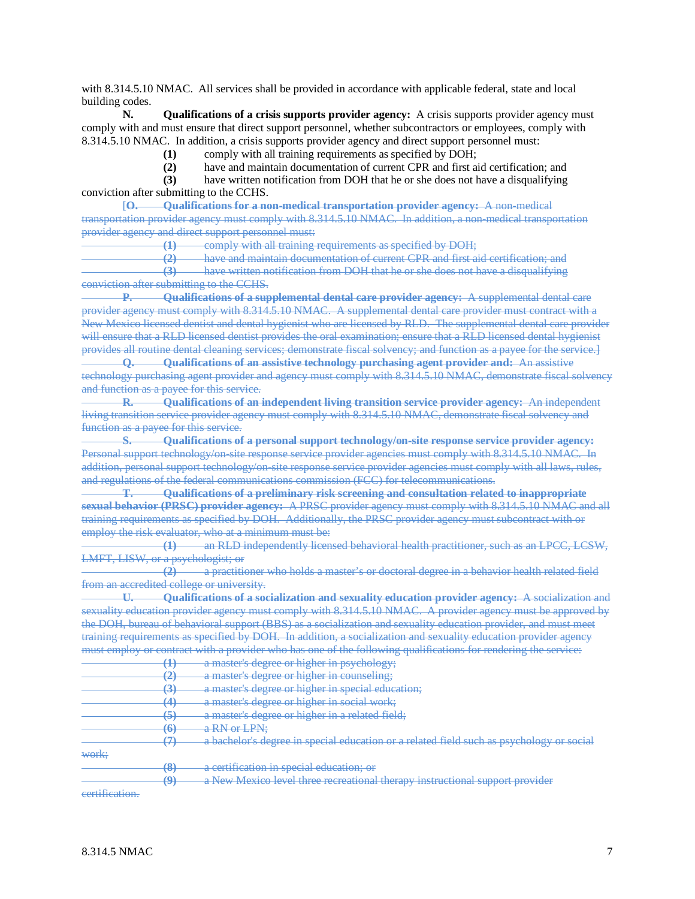with 8.314.5.10 NMAC. All services shall be provided in accordance with applicable federal, state and local building codes.

**N. Qualifications of a crisis supports provider agency:** A crisis supports provider agency must comply with and must ensure that direct support personnel, whether subcontractors or employees, comply with 8.314.5.10 NMAC. In addition, a crisis supports provider agency and direct support personnel must:

**(1)** comply with all training requirements as specified by DOH;

**(2)** have and maintain documentation of current CPR and first aid certification; and

**(3)** have written notification from DOH that he or she does not have a disqualifying conviction after submitting to the CCHS.

[**O. Qualifications for a non-medical transportation provider agency:** A non-medical transportation provider agency must comply with 8.314.5.10 NMAC. In addition, a non-medical transportation provider agency and direct support personnel must:

**(1)** comply with all training requirements as specified by DOH;

**(2)** have and maintain documentation of current CPR and first aid certification; and **(3)** have written notification from DOH that he or she does not have a disqualifying conviction after submitting to the CCHS.

**P. Qualifications of a supplemental dental care provider agency:** A supplemental dental care provider agency must comply with 8.314.5.10 NMAC. A supplemental dental care provider must contract with a New Mexico licensed dentist and dental hygienist who are licensed by RLD. The supplemental dental care provider will ensure that a RLD licensed dentist provides the oral examination; ensure that a RLD licensed dental hygienist provides all routine dental cleaning services; demonstrate fiscal solvency; and function as a payee for the service.]

**Q. Qualifications of an assistive technology purchasing agent provider and:** An assistive technology purchasing agent provider and agency must comply with 8.314.5.10 NMAC, demonstrate fiscal solvency and function as a payee for this service.

**R. Qualifications of an independent living transition service provider agency:** An independent living transition service provider agency must comply with 8.314.5.10 NMAC, demonstrate fiscal solvency and function as a payee for this service.

**S. Qualifications of a personal support technology/on-site response service provider agency:** Personal support technology/on-site response service provider agencies must comply with 8.314.5.10 NMAC. In addition, personal support technology/on-site response service provider agencies must comply with all laws, rules, and regulations of the federal communications commission (FCC) for telecommunications.

**T. Qualifications of a preliminary risk screening and consultation related to inappropriate sexual behavior (PRSC) provider agency:** A PRSC provider agency must comply with 8.314.5.10 NMAC and all training requirements as specified by DOH. Additionally, the PRSC provider agency must subcontract with or employ the risk evaluator, who at a minimum must be:

**(1)** an RLD independently licensed behavioral health practitioner, such as an LPCC, LCSW, LMFT, LISW, or a psychologist; or

**(2)** a practitioner who holds a master's or doctoral degree in a behavior health related field from an accredited college or university.

**U. Qualifications of a socialization and sexuality education provider agency:** A socialization and sexuality education provider agency must comply with 8.314.5.10 NMAC. A provider agency must be approved by the DOH, bureau of behavioral support (BBS) as a socialization and sexuality education provider, and must meet training requirements as specified by DOH. In addition, a socialization and sexuality education provider agency must employ or contract with a provider who has one of the following qualifications for rendering the service:

|                | 고                             | a master's degree or higher in psychology;                                               |
|----------------|-------------------------------|------------------------------------------------------------------------------------------|
|                | ≁                             | a master's degree or higher in counseling;                                               |
|                | $\sigma$                      | a master's degree or higher in special education;                                        |
|                | $\overline{\mathcal{A}}$<br>− | a master's degree or higher in social work;                                              |
|                | 5                             | a master's degree or higher in a related field;                                          |
|                | 6<br>₩                        | a RN or LPN:                                                                             |
|                |                               | a bachelor's degree in special education or a related field such as psychology or social |
| work:          |                               |                                                                                          |
|                | $\left( 8\right)$             | a certification in special education; or                                                 |
|                | o<br>ラ                        | a New Mexico level three recreational therapy instructional support provider             |
| eertification. |                               |                                                                                          |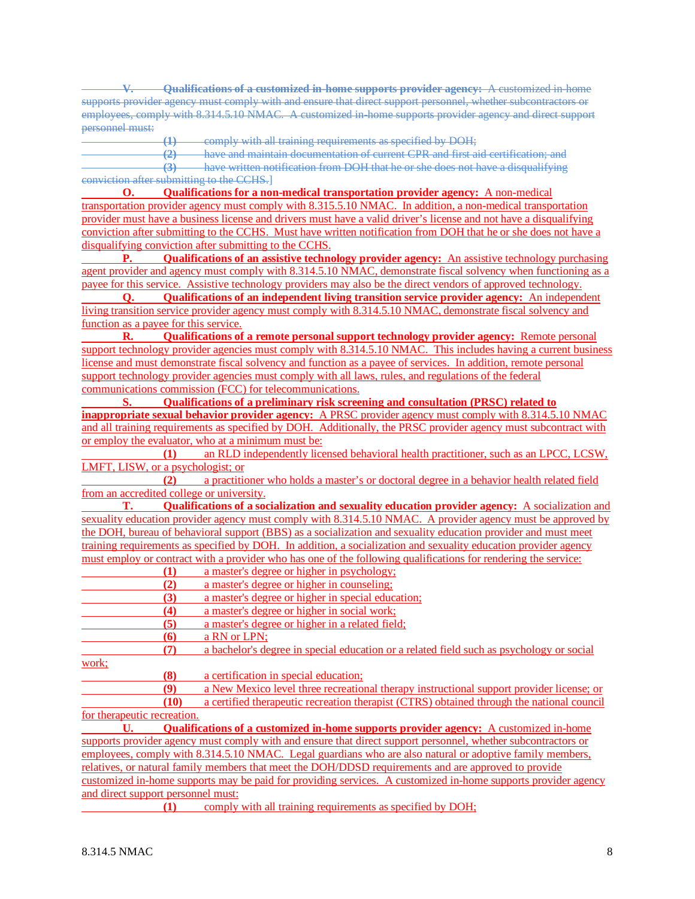**V. Qualifications of a customized in-home supports provider agency:** A customized in-home supports provider agency must comply with and ensure that direct support personnel, whether subcontractors or employees, comply with 8.314.5.10 NMAC. A customized in-home supports provider agency and direct support personnel must:

**(1)** comply with all training requirements as specified by DOH;

**(2)** have and maintain documentation of current CPR and first aid certification; and

**(3)** have written notification from DOH that he or she does not have a disqualifying conviction after submitting to the CCHS.]

**O. Qualifications for a non-medical transportation provider agency:** A non-medical transportation provider agency must comply with 8.315.5.10 NMAC. In addition, a non-medical transportation provider must have a business license and drivers must have a valid driver's license and not have a disqualifying conviction after submitting to the CCHS. Must have written notification from DOH that he or she does not have a disqualifying conviction after submitting to the CCHS.

**P. Qualifications of an assistive technology provider agency:** An assistive technology purchasing agent provider and agency must comply with 8.314.5.10 NMAC, demonstrate fiscal solvency when functioning as a payee for this service. Assistive technology providers may also be the direct vendors of approved technology.

**Q. Qualifications of an independent living transition service provider agency:** An independent living transition service provider agency must comply with 8.314.5.10 NMAC, demonstrate fiscal solvency and function as a payee for this service.

**R. Qualifications of a remote personal support technology provider agency:** Remote personal support technology provider agencies must comply with 8.314.5.10 NMAC. This includes having a current business license and must demonstrate fiscal solvency and function as a payee of services. In addition, remote personal support technology provider agencies must comply with all laws, rules, and regulations of the federal communications commission (FCC) for telecommunications.

**S. Qualifications of a preliminary risk screening and consultation (PRSC) related to inappropriate sexual behavior provider agency:** A PRSC provider agency must comply with 8.314.5.10 NMAC and all training requirements as specified by DOH. Additionally, the PRSC provider agency must subcontract with or employ the evaluator, who at a minimum must be:

**(1)** an RLD independently licensed behavioral health practitioner, such as an LPCC, LCSW, LMFT, LISW, or a psychologist; or

**(2)** a practitioner who holds a master's or doctoral degree in a behavior health related field from an accredited college or university.

**T. Qualifications of a socialization and sexuality education provider agency:** A socialization and sexuality education provider agency must comply with 8.314.5.10 NMAC. A provider agency must be approved by the DOH, bureau of behavioral support (BBS) as a socialization and sexuality education provider and must meet training requirements as specified by DOH. In addition, a socialization and sexuality education provider agency must employ or contract with a provider who has one of the following qualifications for rendering the service:

|  |  | a master's degree or higher in psychology; |
|--|--|--------------------------------------------|
|  |  |                                            |

**(2)** a master's degree or higher in counseling;

**(3)** a master's degree or higher in special education;

**(4)** a master's degree or higher in social work;<br>**(5)** a master's degree or higher in a related field

**(5)** a master's degree or higher in a related field;

**(6)** a RN or LPN;

**(7)** a bachelor's degree in special education or a related field such as psychology or social

work;

**(8)** a certification in special education;

**(9)** a New Mexico level three recreational therapy instructional support provider license; or **(10)** a certified therapeutic recreation therapist (CTRS) obtained through the national council for therapeutic recreation.

**U. Qualifications of a customized in-home supports provider agency:** A customized in-home supports provider agency must comply with and ensure that direct support personnel, whether subcontractors or employees, comply with 8.314.5.10 NMAC. Legal guardians who are also natural or adoptive family members, relatives, or natural family members that meet the DOH/DDSD requirements and are approved to provide customized in-home supports may be paid for providing services. A customized in-home supports provider agency and direct support personnel must:

**(1)** comply with all training requirements as specified by DOH;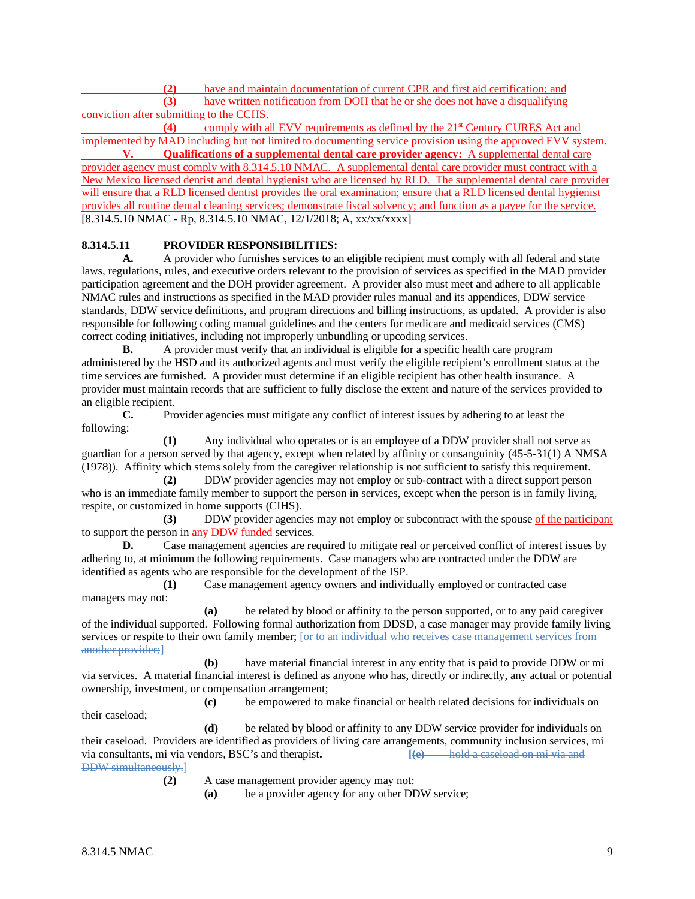**(2)** have and maintain documentation of current CPR and first aid certification; and **(3)** have written notification from DOH that he or she does not have a disqualifying conviction after submitting to the CCHS.

**(4)** comply with all EVV requirements as defined by the 21st Century CURES Act and implemented by MAD including but not limited to documenting service provision using the approved EVV system. **V. Qualifications of a supplemental dental care provider agency:** A supplemental dental care provider agency must comply with 8.314.5.10 NMAC. A supplemental dental care provider must contract with a New Mexico licensed dentist and dental hygienist who are licensed by RLD. The supplemental dental care provider will ensure that a RLD licensed dentist provides the oral examination; ensure that a RLD licensed dental hygienist provides all routine dental cleaning services; demonstrate fiscal solvency; and function as a payee for the service. [8.314.5.10 NMAC - Rp, 8.314.5.10 NMAC, 12/1/2018; A, xx/xx/xxxx]

# **8.314.5.11 PROVIDER RESPONSIBILITIES:**

**A.** A provider who furnishes services to an eligible recipient must comply with all federal and state laws, regulations, rules, and executive orders relevant to the provision of services as specified in the MAD provider participation agreement and the DOH provider agreement. A provider also must meet and adhere to all applicable NMAC rules and instructions as specified in the MAD provider rules manual and its appendices, DDW service standards, DDW service definitions, and program directions and billing instructions, as updated. A provider is also responsible for following coding manual guidelines and the centers for medicare and medicaid services (CMS) correct coding initiatives, including not improperly unbundling or upcoding services.

**B.** A provider must verify that an individual is eligible for a specific health care program administered by the HSD and its authorized agents and must verify the eligible recipient's enrollment status at the time services are furnished. A provider must determine if an eligible recipient has other health insurance. A provider must maintain records that are sufficient to fully disclose the extent and nature of the services provided to an eligible recipient.

**C.** Provider agencies must mitigate any conflict of interest issues by adhering to at least the following:

**(1)** Any individual who operates or is an employee of a DDW provider shall not serve as guardian for a person served by that agency, except when related by affinity or consanguinity (45-5-31(1) A NMSA (1978)). Affinity which stems solely from the caregiver relationship is not sufficient to satisfy this requirement.

**(2)** DDW provider agencies may not employ or sub-contract with a direct support person who is an immediate family member to support the person in services, except when the person is in family living, respite, or customized in home supports (CIHS).

**(3)** DDW provider agencies may not employ or subcontract with the spouse of the participant to support the person in any DDW funded services.

**D.** Case management agencies are required to mitigate real or perceived conflict of interest issues by adhering to, at minimum the following requirements. Case managers who are contracted under the DDW are identified as agents who are responsible for the development of the ISP.

**(1)** Case management agency owners and individually employed or contracted case managers may not:

**(a)** be related by blood or affinity to the person supported, or to any paid caregiver of the individual supported. Following formal authorization from DDSD, a case manager may provide family living services or respite to their own family member; [or to an individual who receives case management services from another provider;]

**(b)** have material financial interest in any entity that is paid to provide DDW or mi via services. A material financial interest is defined as anyone who has, directly or indirectly, any actual or potential ownership, investment, or compensation arrangement;

**(c)** be empowered to make financial or health related decisions for individuals on their caseload;

**(d)** be related by blood or affinity to any DDW service provider for individuals on their caseload. Providers are identified as providers of living care arrangements, community inclusion services, mi<br>via consultants, mi via vendors, BSC's and therapist.<br> $[Fe]$  hold a caseload on mi via and via consultants, mi via vendors, BSC's and therapist. DDW simultaneously.]

**(2)** A case management provider agency may not:

**(a)** be a provider agency for any other DDW service;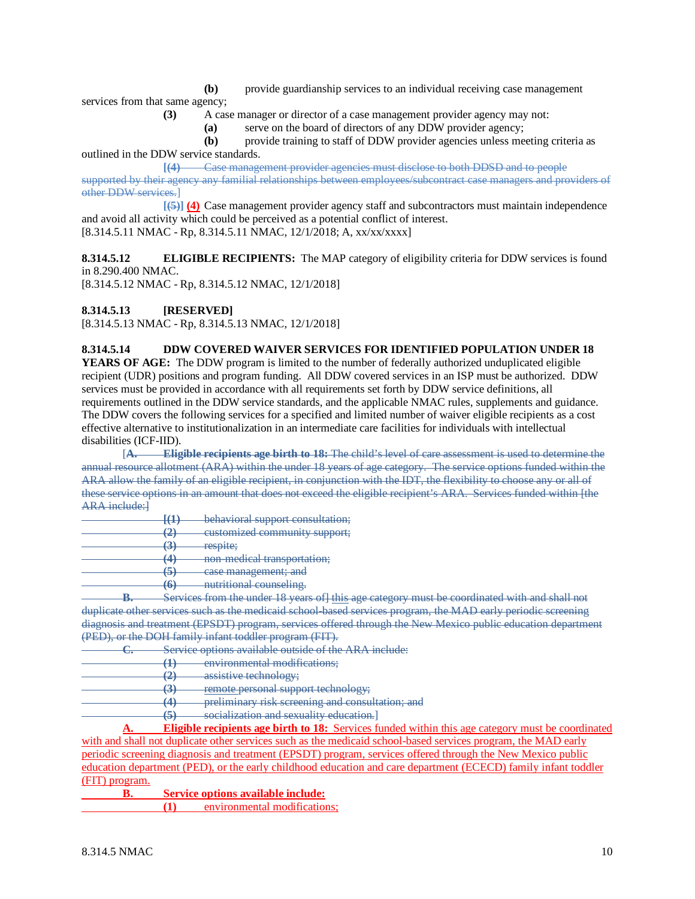**(b)** provide guardianship services to an individual receiving case management

services from that same agency;

**(3)** A case manager or director of a case management provider agency may not:

**(a)** serve on the board of directors of any DDW provider agency;

**(b)** provide training to staff of DDW provider agencies unless meeting criteria as outlined in the DDW service standards.

**[(4)** Case management provider agencies must disclose to both DDSD and to people supported by their agency any familial relationships between employees/subcontract case managers and providers of other DDW services.]

**[(5)] (4)** Case management provider agency staff and subcontractors must maintain independence and avoid all activity which could be perceived as a potential conflict of interest. [8.314.5.11 NMAC - Rp, 8.314.5.11 NMAC, 12/1/2018; A, xx/xx/xxxx]

**8.314.5.12 ELIGIBLE RECIPIENTS:** The MAP category of eligibility criteria for DDW services is found in 8.290.400 NMAC.

[8.314.5.12 NMAC - Rp, 8.314.5.12 NMAC, 12/1/2018]

**8.314.5.13 [RESERVED]**

[8.314.5.13 NMAC - Rp, 8.314.5.13 NMAC, 12/1/2018]

## **8.314.5.14 DDW COVERED WAIVER SERVICES FOR IDENTIFIED POPULATION UNDER 18**

**YEARS OF AGE:** The DDW program is limited to the number of federally authorized unduplicated eligible recipient (UDR) positions and program funding. All DDW covered services in an ISP must be authorized. DDW services must be provided in accordance with all requirements set forth by DDW service definitions, all requirements outlined in the DDW service standards, and the applicable NMAC rules, supplements and guidance. The DDW covers the following services for a specified and limited number of waiver eligible recipients as a cost effective alternative to institutionalization in an intermediate care facilities for individuals with intellectual disabilities (ICF-IID).

[**A. Eligible recipients age birth to 18:** The child's level of care assessment is used to determine the annual resource allotment (ARA) within the under 18 years of age category. The service options funded within the ARA allow the family of an eligible recipient, in conjunction with the IDT, the flexibility to choose any or all of these service options in an amount that does not exceed the eligible recipient's ARA. Services funded within [the ARA include:]

|        |                    | behavioral support consultation;                  |
|--------|--------------------|---------------------------------------------------|
|        |                    | customized community support;                     |
|        | J                  | respite;                                          |
|        | 17                 | non-medical transportation;                       |
|        | ᢦ                  | case management; and                              |
|        | $\left( 6 \right)$ | nutritional counseling.                           |
| -<br>п |                    | Services from the under 18 years of this age cate |

**Briance The unit be coordinated with and shall not** duplicate other services such as the medicaid school-based services program, the MAD early periodic screening diagnosis and treatment (EPSDT) program, services offered through the New Mexico public education department (PED), or the DOH family infant toddler program (FIT).<br>
C. Service options available outside of the

Service options available outside of the ARA include:

- **(1)** environmental modifications;
- **(2)** assistive technology;
- **(3)** remote personal support technology;

**(4)** preliminary risk screening and consultation; and

**(5)** socialization and sexuality education.]

**A. Eligible recipients age birth to 18:** Services funded within this age category must be coordinated with and shall not duplicate other services such as the medicaid school-based services program, the MAD early periodic screening diagnosis and treatment (EPSDT) program, services offered through the New Mexico public education department (PED), or the early childhood education and care department (ECECD) family infant toddler (FIT) program.

**B. Service options available include:**

**(1)** environmental modifications;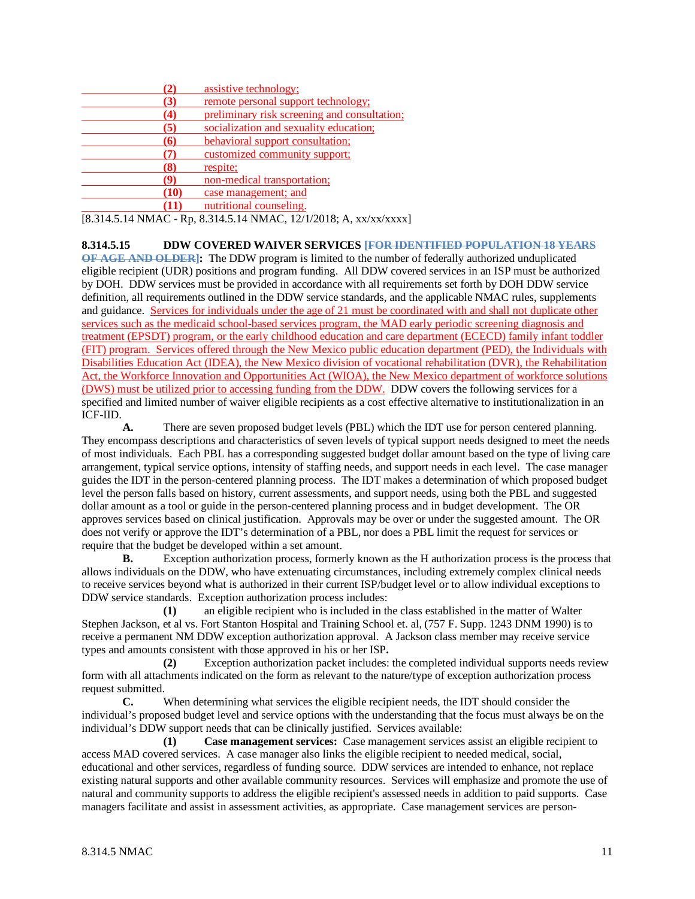| (2)  | assistive technology;                        |
|------|----------------------------------------------|
| (3)  | remote personal support technology;          |
| (4)  | preliminary risk screening and consultation; |
| (5)  | socialization and sexuality education;       |
| (6)  | behavioral support consultation;             |
| 7    | customized community support;                |
| (8)  | respite;                                     |
| (9)  | non-medical transportation;                  |
| (10) | case management; and                         |
| (11  | nutritional counseling.                      |

[8.314.5.14 NMAC - Rp, 8.314.5.14 NMAC, 12/1/2018; A, xx/xx/xxxx]

**8.314.5.15 DDW COVERED WAIVER SERVICES [FOR IDENTIFIED POPULATION 18 YEARS** 

**OF AGE AND OLDER]:** The DDW program is limited to the number of federally authorized unduplicated eligible recipient (UDR) positions and program funding. All DDW covered services in an ISP must be authorized by DOH. DDW services must be provided in accordance with all requirements set forth by DOH DDW service definition, all requirements outlined in the DDW service standards, and the applicable NMAC rules, supplements and guidance. Services for individuals under the age of 21 must be coordinated with and shall not duplicate other services such as the medicaid school-based services program, the MAD early periodic screening diagnosis and treatment (EPSDT) program, or the early childhood education and care department (ECECD) family infant toddler (FIT) program. Services offered through the New Mexico public education department (PED), the Individuals with Disabilities Education Act (IDEA), the New Mexico division of vocational rehabilitation (DVR), the Rehabilitation Act, the Workforce Innovation and Opportunities Act (WIOA), the New Mexico department of workforce solutions (DWS) must be utilized prior to accessing funding from the DDW. DDW covers the following services for a specified and limited number of waiver eligible recipients as a cost effective alternative to institutionalization in an ICF-IID.

**A.** There are seven proposed budget levels (PBL) which the IDT use for person centered planning. They encompass descriptions and characteristics of seven levels of typical support needs designed to meet the needs of most individuals. Each PBL has a corresponding suggested budget dollar amount based on the type of living care arrangement, typical service options, intensity of staffing needs, and support needs in each level. The case manager guides the IDT in the person-centered planning process. The IDT makes a determination of which proposed budget level the person falls based on history, current assessments, and support needs, using both the PBL and suggested dollar amount as a tool or guide in the person-centered planning process and in budget development. The OR approves services based on clinical justification. Approvals may be over or under the suggested amount. The OR does not verify or approve the IDT's determination of a PBL, nor does a PBL limit the request for services or require that the budget be developed within a set amount.

**B.** Exception authorization process, formerly known as the H authorization process is the process that allows individuals on the DDW, who have extenuating circumstances, including extremely complex clinical needs to receive services beyond what is authorized in their current ISP/budget level or to allow individual exceptions to DDW service standards. Exception authorization process includes:

**(1)** an eligible recipient who is included in the class established in the matter of Walter Stephen Jackson, et al vs. Fort Stanton Hospital and Training School et. al, (757 F. Supp. 1243 DNM 1990) is to receive a permanent NM DDW exception authorization approval. A Jackson class member may receive service types and amounts consistent with those approved in his or her ISP**.**

**(2)** Exception authorization packet includes: the completed individual supports needs review form with all attachments indicated on the form as relevant to the nature/type of exception authorization process request submitted.

**C.** When determining what services the eligible recipient needs, the IDT should consider the individual's proposed budget level and service options with the understanding that the focus must always be on the individual's DDW support needs that can be clinically justified. Services available:

**(1) Case management services:** Case management services assist an eligible recipient to access MAD covered services. A case manager also links the eligible recipient to needed medical, social, educational and other services, regardless of funding source. DDW services are intended to enhance, not replace existing natural supports and other available community resources. Services will emphasize and promote the use of natural and community supports to address the eligible recipient's assessed needs in addition to paid supports. Case managers facilitate and assist in assessment activities, as appropriate. Case management services are person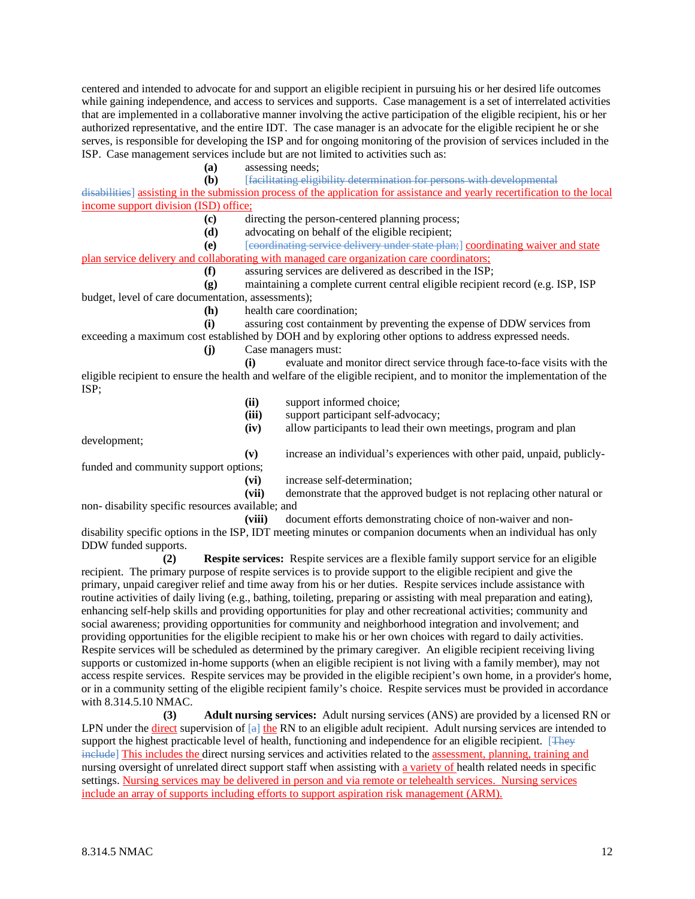centered and intended to advocate for and support an eligible recipient in pursuing his or her desired life outcomes while gaining independence, and access to services and supports. Case management is a set of interrelated activities that are implemented in a collaborative manner involving the active participation of the eligible recipient, his or her authorized representative, and the entire IDT. The case manager is an advocate for the eligible recipient he or she serves, is responsible for developing the ISP and for ongoing monitoring of the provision of services included in the ISP. Case management services include but are not limited to activities such as:

**(a)** assessing needs;

**(b)** [facilitating eligibility determination for persons with developmental

disabilities] assisting in the submission process of the application for assistance and yearly recertification to the local income support division (ISD) office;

**(c)** directing the person-centered planning process;

**(d)** advocating on behalf of the eligible recipient;

**(e)** [coordinating service delivery under state plan;] coordinating waiver and state plan service delivery and collaborating with managed care organization care coordinators;

#### **(f)** assuring services are delivered as described in the ISP;

**(g)** maintaining a complete current central eligible recipient record (e.g. ISP, ISP budget, level of care documentation, assessments);

**(h)** health care coordination;

**(i)** assuring cost containment by preventing the expense of DDW services from exceeding a maximum cost established by DOH and by exploring other options to address expressed needs.

**(j)** Case managers must:

**(i)** evaluate and monitor direct service through face-to-face visits with the eligible recipient to ensure the health and welfare of the eligible recipient, and to monitor the implementation of the ISP;

- **(ii)** support informed choice;
- **(iii)** support participant self-advocacy;
- **(iv)** allow participants to lead their own meetings, program and plan

development;

**(v)** increase an individual's experiences with other paid, unpaid, publiclyfunded and community support options;

- **(vi)** increase self-determination;
- **(vii)** demonstrate that the approved budget is not replacing other natural or

non- disability specific resources available; and

**(viii)** document efforts demonstrating choice of non-waiver and non-

disability specific options in the ISP, IDT meeting minutes or companion documents when an individual has only DDW funded supports.

**(2) Respite services:** Respite services are a flexible family support service for an eligible recipient. The primary purpose of respite services is to provide support to the eligible recipient and give the primary, unpaid caregiver relief and time away from his or her duties. Respite services include assistance with routine activities of daily living (e.g., bathing, toileting, preparing or assisting with meal preparation and eating), enhancing self-help skills and providing opportunities for play and other recreational activities; community and social awareness; providing opportunities for community and neighborhood integration and involvement; and providing opportunities for the eligible recipient to make his or her own choices with regard to daily activities. Respite services will be scheduled as determined by the primary caregiver. An eligible recipient receiving living supports or customized in-home supports (when an eligible recipient is not living with a family member), may not access respite services. Respite services may be provided in the eligible recipient's own home, in a provider's home, or in a community setting of the eligible recipient family's choice. Respite services must be provided in accordance with 8.314.5.10 NMAC.

**(3) Adult nursing services:** Adult nursing services (ANS) are provided by a licensed RN or LPN under the direct supervision of  $[a]$  the RN to an eligible adult recipient. Adult nursing services are intended to support the highest practicable level of health, functioning and independence for an eligible recipient. [They include] This includes the direct nursing services and activities related to the assessment, planning, training and nursing oversight of unrelated direct support staff when assisting with a variety of health related needs in specific settings. Nursing services may be delivered in person and via remote or telehealth services. Nursing services include an array of supports including efforts to support aspiration risk management (ARM).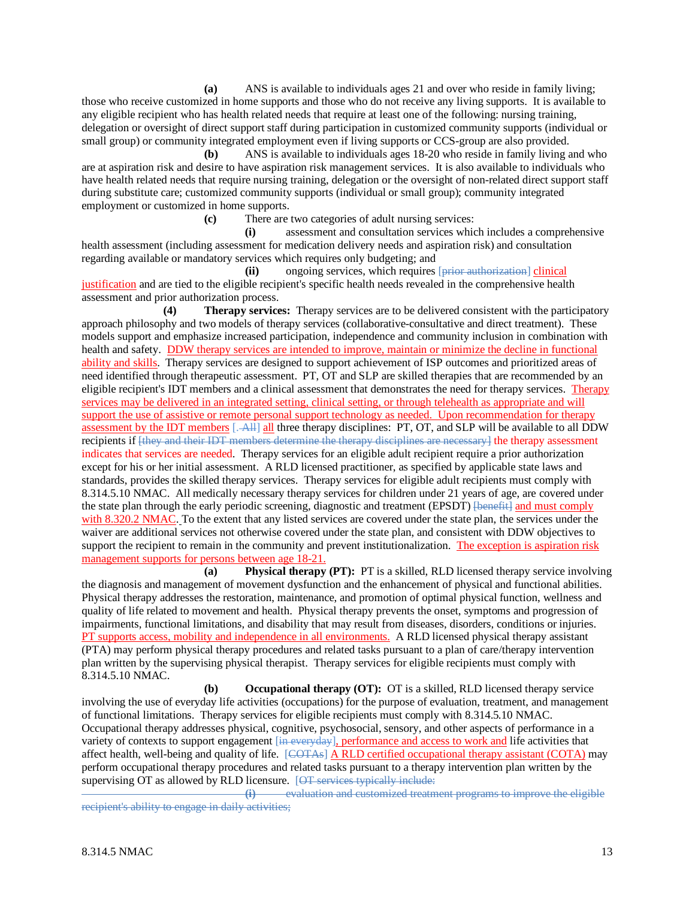**(a)** ANS is available to individuals ages 21 and over who reside in family living; those who receive customized in home supports and those who do not receive any living supports. It is available to any eligible recipient who has health related needs that require at least one of the following: nursing training, delegation or oversight of direct support staff during participation in customized community supports (individual or small group) or community integrated employment even if living supports or CCS-group are also provided.

**(b)** ANS is available to individuals ages 18-20 who reside in family living and who are at aspiration risk and desire to have aspiration risk management services. It is also available to individuals who have health related needs that require nursing training, delegation or the oversight of non-related direct support staff during substitute care; customized community supports (individual or small group); community integrated employment or customized in home supports.

**(c)** There are two categories of adult nursing services:

**(i)** assessment and consultation services which includes a comprehensive health assessment (including assessment for medication delivery needs and aspiration risk) and consultation regarding available or mandatory services which requires only budgeting; and

**(ii)** ongoing services, which requires [prior authorization] clinical justification and are tied to the eligible recipient's specific health needs revealed in the comprehensive health assessment and prior authorization process.

**(4) Therapy services:** Therapy services are to be delivered consistent with the participatory approach philosophy and two models of therapy services (collaborative-consultative and direct treatment). These models support and emphasize increased participation, independence and community inclusion in combination with health and safety. DDW therapy services are intended to improve, maintain or minimize the decline in functional ability and skills. Therapy services are designed to support achievement of ISP outcomes and prioritized areas of need identified through therapeutic assessment. PT, OT and SLP are skilled therapies that are recommended by an eligible recipient's IDT members and a clinical assessment that demonstrates the need for therapy services. Therapy services may be delivered in an integrated setting, clinical setting, or through telehealth as appropriate and will support the use of assistive or remote personal support technology as needed. Upon recommendation for therapy assessment by the IDT members [. All] all three therapy disciplines: PT, OT, and SLP will be available to all DDW recipients if  $\{\text{they and their IDT members determine the therapy disciplines are necessary}\}$  the therapy assessment indicates that services are needed. Therapy services for an eligible adult recipient require a prior authorization except for his or her initial assessment. A RLD licensed practitioner, as specified by applicable state laws and standards, provides the skilled therapy services. Therapy services for eligible adult recipients must comply with 8.314.5.10 NMAC. All medically necessary therapy services for children under 21 years of age, are covered under the state plan through the early periodic screening, diagnostic and treatment (EPSDT) [benefit] and must comply with 8.320.2 NMAC. To the extent that any listed services are covered under the state plan, the services under the waiver are additional services not otherwise covered under the state plan, and consistent with DDW objectives to support the recipient to remain in the community and prevent institutionalization. The exception is aspiration risk management supports for persons between age 18-21.

**(a) Physical therapy (PT):** PT is a skilled, RLD licensed therapy service involving the diagnosis and management of movement dysfunction and the enhancement of physical and functional abilities. Physical therapy addresses the restoration, maintenance, and promotion of optimal physical function, wellness and quality of life related to movement and health. Physical therapy prevents the onset, symptoms and progression of impairments, functional limitations, and disability that may result from diseases, disorders, conditions or injuries. PT supports access, mobility and independence in all environments. A RLD licensed physical therapy assistant (PTA) may perform physical therapy procedures and related tasks pursuant to a plan of care/therapy intervention plan written by the supervising physical therapist. Therapy services for eligible recipients must comply with 8.314.5.10 NMAC.

**(b) Occupational therapy (OT):** OT is a skilled, RLD licensed therapy service involving the use of everyday life activities (occupations) for the purpose of evaluation, treatment, and management of functional limitations. Therapy services for eligible recipients must comply with 8.314.5.10 NMAC. Occupational therapy addresses physical, cognitive, psychosocial, sensory, and other aspects of performance in a variety of contexts to support engagement [in everyday], performance and access to work and life activities that affect health, well-being and quality of life. [COTAs] A RLD certified occupational therapy assistant (COTA) may perform occupational therapy procedures and related tasks pursuant to a therapy intervention plan written by the supervising OT as allowed by RLD licensure. [OT services typically include:<br>(i) evaluation and customized treatment

**(i)** evaluation and customized treatment programs to improve the eligible recipient's ability to engage in daily activities;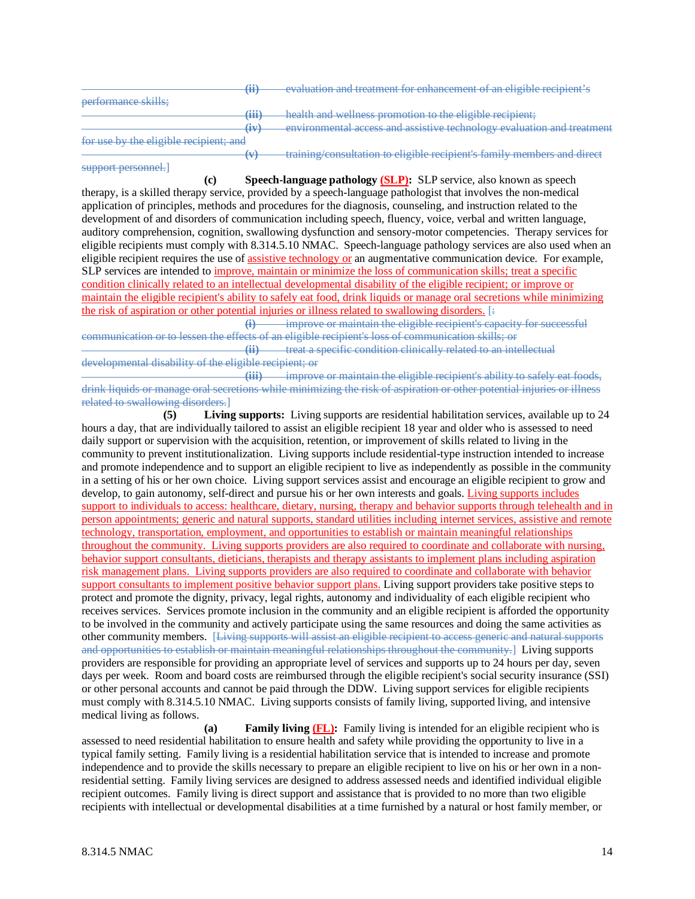|                                        | $\mathbf{(ii)}$   | evaluation and treatment for enhancement of an eligible recipient's     |
|----------------------------------------|-------------------|-------------------------------------------------------------------------|
|                                        |                   |                                                                         |
| performance skills:                    |                   |                                                                         |
|                                        | m                 | health and wellness promotion to the eligible recipient.                |
|                                        | (iv)              | environmental access and assistive technology evaluation and treatment  |
| for use by the eligible recipient; and |                   |                                                                         |
|                                        | $\leftrightarrow$ | training/consultation to eligible recipient's family members and direct |

**(c) Speech-language pathology (SLP):** SLP service, also known as speech therapy, is a skilled therapy service, provided by a speech-language pathologist that involves the non-medical application of principles, methods and procedures for the diagnosis, counseling, and instruction related to the development of and disorders of communication including speech, fluency, voice, verbal and written language, auditory comprehension, cognition, swallowing dysfunction and sensory-motor competencies. Therapy services for eligible recipients must comply with 8.314.5.10 NMAC. Speech-language pathology services are also used when an eligible recipient requires the use of assistive technology or an augmentative communication device. For example, SLP services are intended to improve, maintain or minimize the loss of communication skills; treat a specific condition clinically related to an intellectual developmental disability of the eligible recipient; or improve or maintain the eligible recipient's ability to safely eat food, drink liquids or manage oral secretions while minimizing the risk of aspiration or other potential injuries or illness related to swallowing disorders. [:<br>(i) improve or maintain the eligible recipient's car

improve or maintain the eligible recipient's capacity for successful communication or to lessen the effects of an eligible recipient's loss of communication skills; or **(ii)** treat a specific condition clinically related to an intellectual

developmental disability of the eligible recipient; or

support personnel.]

**(iii)** improve or maintain the eligible recipient's ability to safely eat foods, drink liquids or manage oral secretions while minimizing the risk of aspiration or other potential injuries or illness related to swallowing disorders.]

**(5) Living supports:** Living supports are residential habilitation services, available up to 24 hours a day, that are individually tailored to assist an eligible recipient 18 year and older who is assessed to need daily support or supervision with the acquisition, retention, or improvement of skills related to living in the community to prevent institutionalization. Living supports include residential-type instruction intended to increase and promote independence and to support an eligible recipient to live as independently as possible in the community in a setting of his or her own choice. Living support services assist and encourage an eligible recipient to grow and develop, to gain autonomy, self-direct and pursue his or her own interests and goals. Living supports includes support to individuals to access: healthcare, dietary, nursing, therapy and behavior supports through telehealth and in person appointments; generic and natural supports, standard utilities including internet services, assistive and remote technology, transportation, employment, and opportunities to establish or maintain meaningful relationships throughout the community. Living supports providers are also required to coordinate and collaborate with nursing, behavior support consultants, dieticians, therapists and therapy assistants to implement plans including aspiration risk management plans. Living supports providers are also required to coordinate and collaborate with behavior support consultants to implement positive behavior support plans. Living support providers take positive steps to protect and promote the dignity, privacy, legal rights, autonomy and individuality of each eligible recipient who receives services. Services promote inclusion in the community and an eligible recipient is afforded the opportunity to be involved in the community and actively participate using the same resources and doing the same activities as other community members. [Living supports will assist an eligible recipient to access generic and natural supports and opportunities to establish or maintain meaningful relationships throughout the community.] Living supports providers are responsible for providing an appropriate level of services and supports up to 24 hours per day, seven days per week. Room and board costs are reimbursed through the eligible recipient's social security insurance (SSI) or other personal accounts and cannot be paid through the DDW. Living support services for eligible recipients must comply with 8.314.5.10 NMAC. Living supports consists of family living, supported living, and intensive medical living as follows.

**(a) Family living (FL):** Family living is intended for an eligible recipient who is assessed to need residential habilitation to ensure health and safety while providing the opportunity to live in a typical family setting. Family living is a residential habilitation service that is intended to increase and promote independence and to provide the skills necessary to prepare an eligible recipient to live on his or her own in a nonresidential setting. Family living services are designed to address assessed needs and identified individual eligible recipient outcomes. Family living is direct support and assistance that is provided to no more than two eligible recipients with intellectual or developmental disabilities at a time furnished by a natural or host family member, or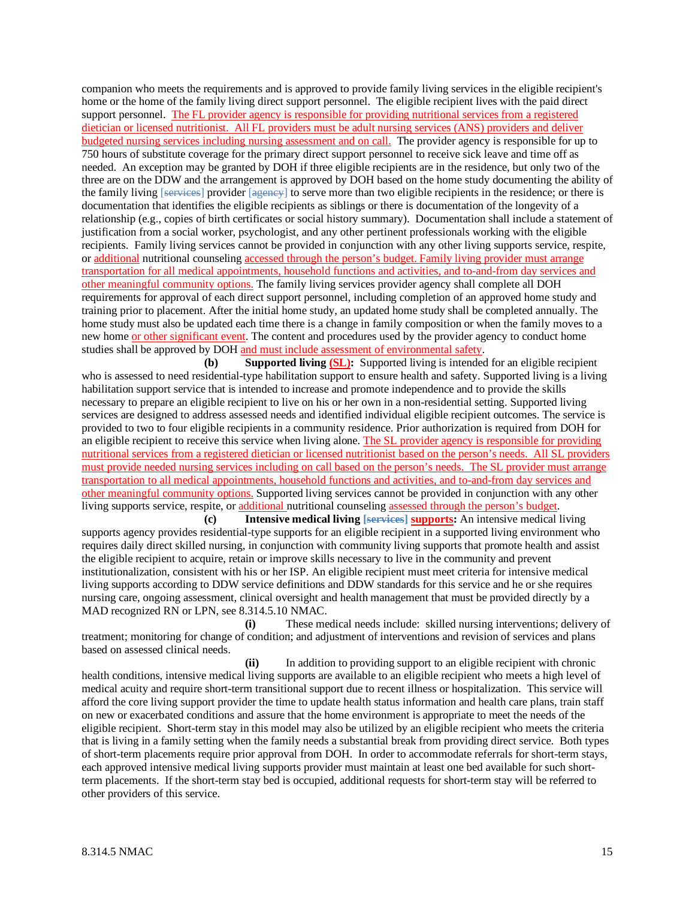companion who meets the requirements and is approved to provide family living services in the eligible recipient's home or the home of the family living direct support personnel. The eligible recipient lives with the paid direct support personnel. The FL provider agency is responsible for providing nutritional services from a registered dietician or licensed nutritionist. All FL providers must be adult nursing services (ANS) providers and deliver budgeted nursing services including nursing assessment and on call. The provider agency is responsible for up to 750 hours of substitute coverage for the primary direct support personnel to receive sick leave and time off as needed. An exception may be granted by DOH if three eligible recipients are in the residence, but only two of the three are on the DDW and the arrangement is approved by DOH based on the home study documenting the ability of the family living [services] provider [agency] to serve more than two eligible recipients in the residence; or there is documentation that identifies the eligible recipients as siblings or there is documentation of the longevity of a relationship (e.g., copies of birth certificates or social history summary). Documentation shall include a statement of justification from a social worker, psychologist, and any other pertinent professionals working with the eligible recipients. Family living services cannot be provided in conjunction with any other living supports service, respite, or additional nutritional counseling accessed through the person's budget. Family living provider must arrange transportation for all medical appointments, household functions and activities, and to-and-from day services and other meaningful community options. The family living services provider agency shall complete all DOH requirements for approval of each direct support personnel, including completion of an approved home study and training prior to placement. After the initial home study, an updated home study shall be completed annually. The home study must also be updated each time there is a change in family composition or when the family moves to a new home or other significant event. The content and procedures used by the provider agency to conduct home studies shall be approved by DOH and must include assessment of environmental safety.

**(b) Supported living (SL):** Supported living is intended for an eligible recipient who is assessed to need residential-type habilitation support to ensure health and safety. Supported living is a living habilitation support service that is intended to increase and promote independence and to provide the skills necessary to prepare an eligible recipient to live on his or her own in a non-residential setting. Supported living services are designed to address assessed needs and identified individual eligible recipient outcomes. The service is provided to two to four eligible recipients in a community residence. Prior authorization is required from DOH for an eligible recipient to receive this service when living alone. The SL provider agency is responsible for providing nutritional services from a registered dietician or licensed nutritionist based on the person's needs. All SL providers must provide needed nursing services including on call based on the person's needs. The SL provider must arrange transportation to all medical appointments, household functions and activities, and to-and-from day services and other meaningful community options. Supported living services cannot be provided in conjunction with any other living supports service, respite, or additional nutritional counseling assessed through the person's budget.

**(c) Intensive medical living [services] supports:** An intensive medical living supports agency provides residential-type supports for an eligible recipient in a supported living environment who requires daily direct skilled nursing, in conjunction with community living supports that promote health and assist the eligible recipient to acquire, retain or improve skills necessary to live in the community and prevent institutionalization, consistent with his or her ISP. An eligible recipient must meet criteria for intensive medical living supports according to DDW service definitions and DDW standards for this service and he or she requires nursing care, ongoing assessment, clinical oversight and health management that must be provided directly by a MAD recognized RN or LPN, see 8.314.5.10 NMAC.

**(i)** These medical needs include: skilled nursing interventions; delivery of treatment; monitoring for change of condition; and adjustment of interventions and revision of services and plans based on assessed clinical needs.

**(ii)** In addition to providing support to an eligible recipient with chronic health conditions, intensive medical living supports are available to an eligible recipient who meets a high level of medical acuity and require short-term transitional support due to recent illness or hospitalization. This service will afford the core living support provider the time to update health status information and health care plans, train staff on new or exacerbated conditions and assure that the home environment is appropriate to meet the needs of the eligible recipient. Short-term stay in this model may also be utilized by an eligible recipient who meets the criteria that is living in a family setting when the family needs a substantial break from providing direct service. Both types of short-term placements require prior approval from DOH. In order to accommodate referrals for short-term stays, each approved intensive medical living supports provider must maintain at least one bed available for such shortterm placements. If the short-term stay bed is occupied, additional requests for short-term stay will be referred to other providers of this service.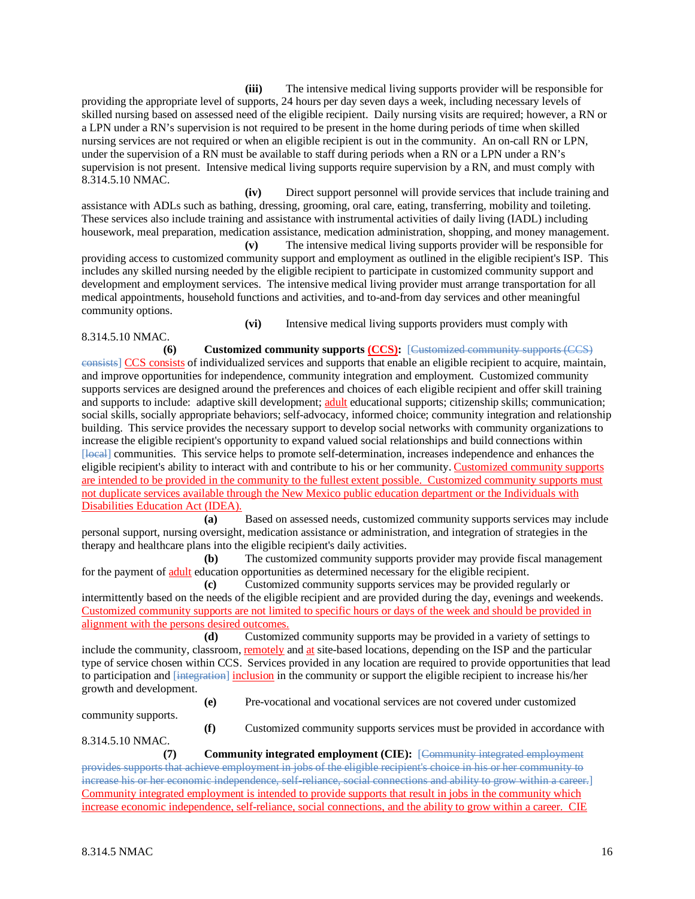**(iii)** The intensive medical living supports provider will be responsible for providing the appropriate level of supports, 24 hours per day seven days a week, including necessary levels of skilled nursing based on assessed need of the eligible recipient. Daily nursing visits are required; however, a RN or a LPN under a RN's supervision is not required to be present in the home during periods of time when skilled nursing services are not required or when an eligible recipient is out in the community. An on-call RN or LPN, under the supervision of a RN must be available to staff during periods when a RN or a LPN under a RN's supervision is not present. Intensive medical living supports require supervision by a RN, and must comply with 8.314.5.10 NMAC.

**(iv)** Direct support personnel will provide services that include training and assistance with ADLs such as bathing, dressing, grooming, oral care, eating, transferring, mobility and toileting. These services also include training and assistance with instrumental activities of daily living (IADL) including housework, meal preparation, medication assistance, medication administration, shopping, and money management.

**(v)** The intensive medical living supports provider will be responsible for providing access to customized community support and employment as outlined in the eligible recipient's ISP. This includes any skilled nursing needed by the eligible recipient to participate in customized community support and development and employment services. The intensive medical living provider must arrange transportation for all medical appointments, household functions and activities, and to-and-from day services and other meaningful community options.

**(vi)** Intensive medical living supports providers must comply with 8.314.5.10 NMAC.

**(6) Customized community supports (CCS):** [Customized community supports (CCS)

consists] CCS consists of individualized services and supports that enable an eligible recipient to acquire, maintain, and improve opportunities for independence, community integration and employment. Customized community supports services are designed around the preferences and choices of each eligible recipient and offer skill training and supports to include: adaptive skill development; adult educational supports; citizenship skills; communication; social skills, socially appropriate behaviors; self-advocacy, informed choice; community integration and relationship building. This service provides the necessary support to develop social networks with community organizations to increase the eligible recipient's opportunity to expand valued social relationships and build connections within [local] communities. This service helps to promote self-determination, increases independence and enhances the eligible recipient's ability to interact with and contribute to his or her community. Customized community supports are intended to be provided in the community to the fullest extent possible. Customized community supports must not duplicate services available through the New Mexico public education department or the Individuals with Disabilities Education Act (IDEA).

**(a)** Based on assessed needs, customized community supports services may include personal support, nursing oversight, medication assistance or administration, and integration of strategies in the therapy and healthcare plans into the eligible recipient's daily activities.

**(b)** The customized community supports provider may provide fiscal management for the payment of adult education opportunities as determined necessary for the eligible recipient.

**(c)** Customized community supports services may be provided regularly or intermittently based on the needs of the eligible recipient and are provided during the day, evenings and weekends. Customized community supports are not limited to specific hours or days of the week and should be provided in alignment with the persons desired outcomes.<br>
(d) Customize

Customized community supports may be provided in a variety of settings to include the community, classroom, remotely and at site-based locations, depending on the ISP and the particular type of service chosen within CCS. Services provided in any location are required to provide opportunities that lead to participation and [integration] inclusion in the community or support the eligible recipient to increase his/her growth and development.

**(e)** Pre-vocational and vocational services are not covered under customized

community supports.

**(f)** Customized community supports services must be provided in accordance with

8.314.5.10 NMAC.

**(7) Community integrated employment (CIE):** [Community integrated employment provides supports that achieve employment in jobs of the eligible recipient's choice in his or her community to increase his or her economic independence, self-reliance, social connections and ability to grow within a career.] Community integrated employment is intended to provide supports that result in jobs in the community which increase economic independence, self-reliance, social connections, and the ability to grow within a career. CIE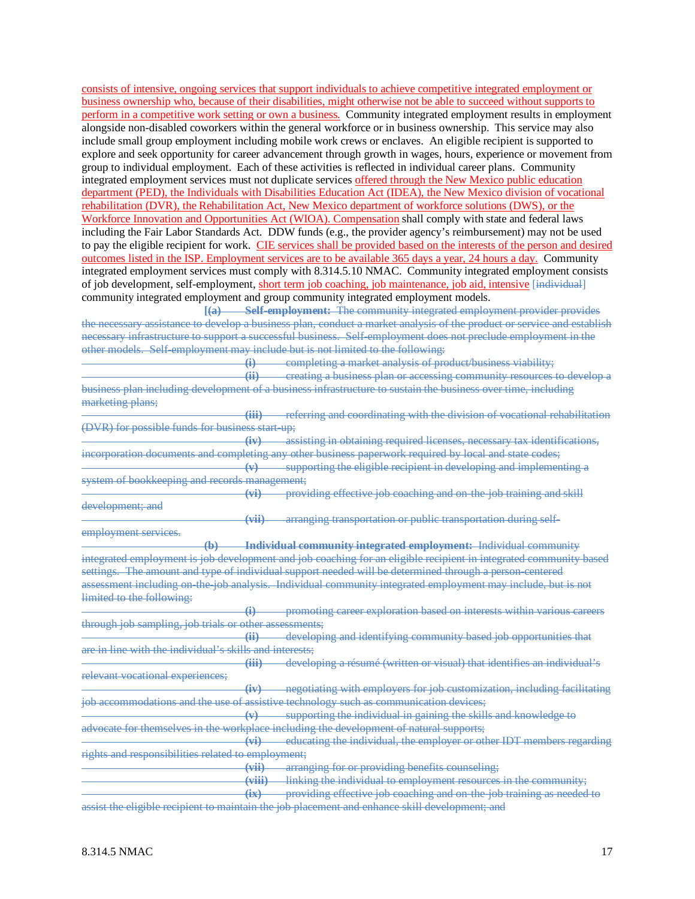consists of intensive, ongoing services that support individuals to achieve competitive integrated employment or business ownership who, because of their disabilities, might otherwise not be able to succeed without supports to perform in a competitive work setting or own a business. Community integrated employment results in employment alongside non-disabled coworkers within the general workforce or in business ownership. This service may also include small group employment including mobile work crews or enclaves. An eligible recipient is supported to explore and seek opportunity for career advancement through growth in wages, hours, experience or movement from group to individual employment. Each of these activities is reflected in individual career plans. Community integrated employment services must not duplicate services offered through the New Mexico public education department (PED), the Individuals with Disabilities Education Act (IDEA), the New Mexico division of vocational rehabilitation (DVR), the Rehabilitation Act, New Mexico department of workforce solutions (DWS), or the Workforce Innovation and Opportunities Act (WIOA). Compensation shall comply with state and federal laws including the Fair Labor Standards Act. DDW funds (e.g., the provider agency's reimbursement) may not be used to pay the eligible recipient for work. CIE services shall be provided based on the interests of the person and desired outcomes listed in the ISP. Employment services are to be available 365 days a year, 24 hours a day. Community integrated employment services must comply with 8.314.5.10 NMAC. Community integrated employment consists of job development, self-employment, short term job coaching, job maintenance, job aid, intensive [individual] community integrated employment and group community integrated employment models.

**[(a) Self-employment:** The community integrated employment provider provides the necessary assistance to develop a business plan, conduct a market analysis of the product or service and establish necessary infrastructure to support a successful business. Self-employment does not preclude employment in the other models. Self-employment may include but is not limited to the following:

**(i)** completing a market analysis of product/business viability; **(ii)** creating a business plan or accessing community resources to develop a business plan including development of a business infrastructure to sustain the business over time, including marketing plans;

**(iii)** referring and coordinating with the division of vocational rehabilitation (DVR) for possible funds for business start-up;

**(iv)** assisting in obtaining required licenses, necessary tax identifications, incorporation documents and completing any other business paperwork required by local and state codes;

**(v)** supporting the eligible recipient in developing and implementing a system of bookkeeping and records management;

**(vi)** providing effective job coaching and on-the-job training and skill development; and

**(vii)** arranging transportation or public transportation during self-

employment services.

**(b) Individual community integrated employment:** Individual community integrated employment is job development and job coaching for an eligible recipient in integrated community based settings. The amount and type of individual support needed will be determined through a person-centered assessment including on-the-job analysis. Individual community integrated employment may include, but is not limited to the following:

**(i)** promoting career exploration based on interests within various careers through job sampling, job trials or other assessments;<br>(ii) develops

developing and identifying community based job opportunities that are in line with the individual's skills and interests;

**(iii)** developing a résumé (written or visual) that identifies an individual's relevant vocational experiences;

**(iv)** negotiating with employers for job customization, including facilitating job accommodations and the use of assistive technology such as communication devices;

**(v)** supporting the individual in gaining the skills and knowledge to advocate for themselves in the workplace including the development of natural supports;

**(vi)** educating the individual, the employer or other IDT members regarding rights and responsibilities related to employment;

**(vii)** arranging for or providing benefits counseling;

**(viii)** linking the individual to employment resources in the community;

providing effective job coaching and on-the-job training as needed to

assist the eligible recipient to maintain the job placement and enhance skill development; and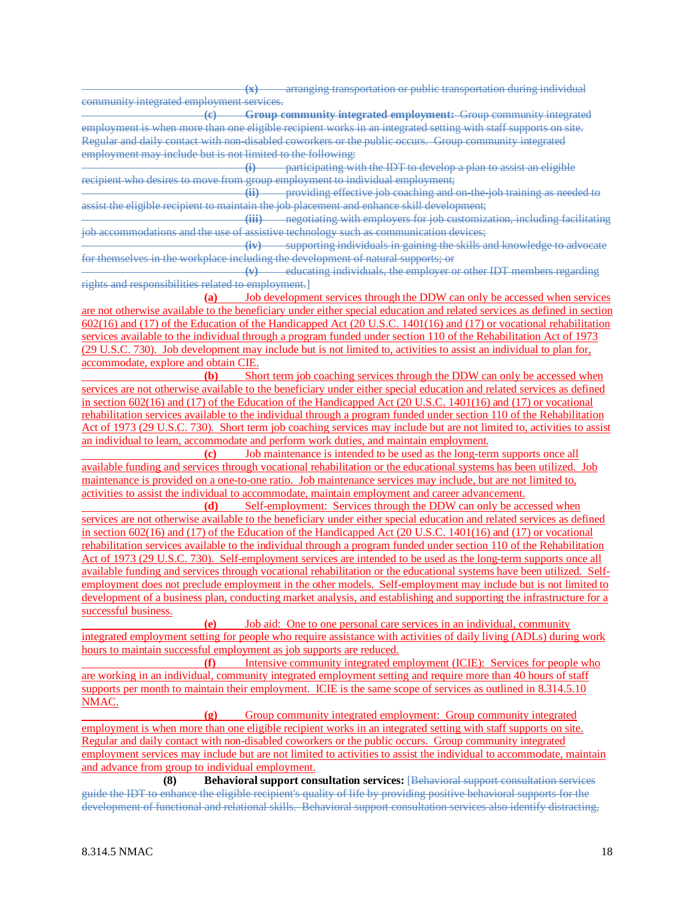**(x)** arranging transportation or public transportation during individual community integrated employment services.

**(c) Group community integrated employment:** Group community integrated employment is when more than one eligible recipient works in an integrated setting with staff supports on site. Regular and daily contact with non-disabled coworkers or the public occurs. Group community integrated employment may include but is not limited to the following:

**(i)** participating with the IDT to develop a plan to assist an eligible recipient who desires to move from group employment to individual employment;<br>(ii) providing effective job coaching and

providing effective job coaching and on-the-job training as needed to assist the eligible recipient to maintain the job placement and enhance skill development;

**(iii)** negotiating with employers for job customization, including facilitating job accommodations and the use of assistive technology such as communication devices;

**(iv)** supporting individuals in gaining the skills and knowledge to advocate for themselves in the workplace including the development of natural supports; or

**(v)** educating individuals, the employer or other IDT members regarding rights and responsibilities related to employment.]

**(a)** Job development services through the DDW can only be accessed when services are not otherwise available to the beneficiary under either special education and related services as defined in section 602(16) and (17) of the Education of the Handicapped Act (20 U.S.C. 1401(16) and (17) or vocational rehabilitation services available to the individual through a program funded under section 110 of the Rehabilitation Act of 1973 (29 U.S.C. 730). Job development may include but is not limited to, activities to assist an individual to plan for, accommodate, explore and obtain CIE.

**(b)** Short term job coaching services through the DDW can only be accessed when services are not otherwise available to the beneficiary under either special education and related services as defined in section 602(16) and (17) of the Education of the Handicapped Act (20 U.S.C. 1401(16) and (17) or vocational rehabilitation services available to the individual through a program funded under section 110 of the Rehabilitation Act of 1973 (29 U.S.C. 730). Short term job coaching services may include but are not limited to, activities to assist an individual to learn, accommodate and perform work duties, and maintain employment.

**(c)** Job maintenance is intended to be used as the long-term supports once all available funding and services through vocational rehabilitation or the educational systems has been utilized. Job maintenance is provided on a one-to-one ratio. Job maintenance services may include, but are not limited to, activities to assist the individual to accommodate, maintain employment and career advancement.

**(d)** Self-employment: Services through the DDW can only be accessed when services are not otherwise available to the beneficiary under either special education and related services as defined in section 602(16) and (17) of the Education of the Handicapped Act (20 U.S.C. 1401(16) and (17) or vocational rehabilitation services available to the individual through a program funded under section 110 of the Rehabilitation Act of 1973 (29 U.S.C. 730). Self-employment services are intended to be used as the long-term supports once all available funding and services through vocational rehabilitation or the educational systems have been utilized. Selfemployment does not preclude employment in the other models. Self-employment may include but is not limited to development of a business plan, conducting market analysis, and establishing and supporting the infrastructure for a successful business.

**(e)** Job aid: One to one personal care services in an individual, community integrated employment setting for people who require assistance with activities of daily living (ADLs) during work hours to maintain successful employment as job supports are reduced.

**(f)** Intensive community integrated employment (ICIE): Services for people who are working in an individual, community integrated employment setting and require more than 40 hours of staff supports per month to maintain their employment. ICIE is the same scope of services as outlined in 8.314.5.10 NMAC.

**(g)** Group community integrated employment: Group community integrated employment is when more than one eligible recipient works in an integrated setting with staff supports on site. Regular and daily contact with non-disabled coworkers or the public occurs. Group community integrated employment services may include but are not limited to activities to assist the individual to accommodate, maintain and advance from group to individual employment.

**(8) Behavioral support consultation services:** [Behavioral support consultation services guide the IDT to enhance the eligible recipient's quality of life by providing positive behavioral supports for the development of functional and relational skills. Behavioral support consultation services also identify distracting,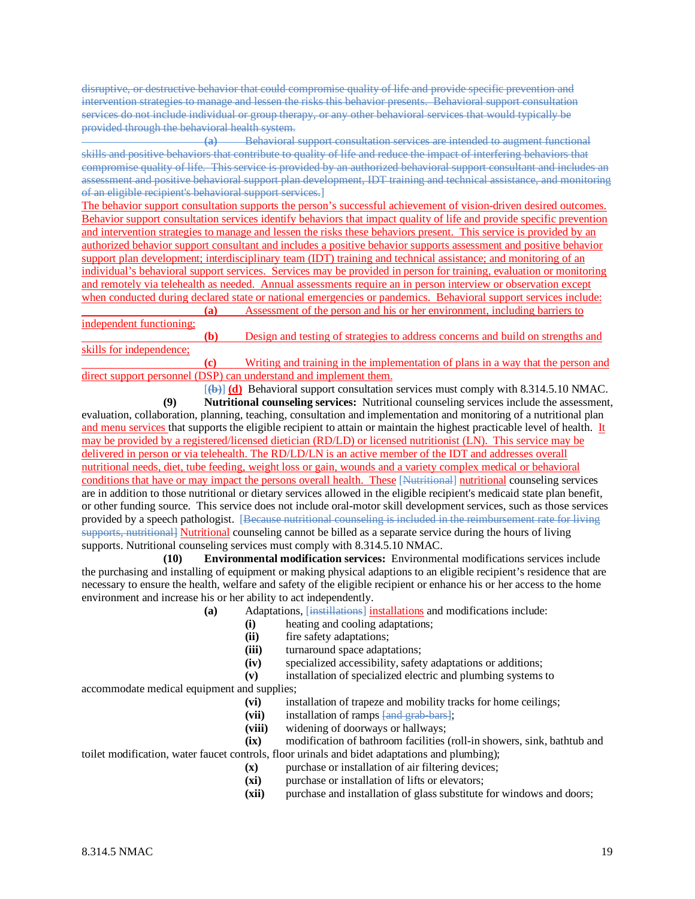disruptive, or destructive behavior that could compromise quality of life and provide specific prevention and intervention strategies to manage and lessen the risks this behavior presents. Behavioral support consultation services do not include individual or group therapy, or any other behavioral services that would typically be provided through the behavioral health system.

**(a)** Behavioral support consultation services are intended to augment functional skills and positive behaviors that contribute to quality of life and reduce the impact of interfering behaviors that compromise quality of life. This service is provided by an authorized behavioral support consultant and includes an assessment and positive behavioral support plan development, IDT training and technical assistance, and monitoring of an eligible recipient's behavioral support services.]

The behavior support consultation supports the person's successful achievement of vision-driven desired outcomes. Behavior support consultation services identify behaviors that impact quality of life and provide specific prevention and intervention strategies to manage and lessen the risks these behaviors present. This service is provided by an authorized behavior support consultant and includes a positive behavior supports assessment and positive behavior support plan development; interdisciplinary team (IDT) training and technical assistance; and monitoring of an individual's behavioral support services. Services may be provided in person for training, evaluation or monitoring and remotely via telehealth as needed. Annual assessments require an in person interview or observation except when conducted during declared state or national emergencies or pandemics. Behavioral support services include: **(a)** Assessment of the person and his or her environment, including barriers to

independent functioning;

**(b)** Design and testing of strategies to address concerns and build on strengths and skills for independence;

**(c)** Writing and training in the implementation of plans in a way that the person and direct support personnel (DSP) can understand and implement them.

[**(b)**] **(d)** Behavioral support consultation services must comply with 8.314.5.10 NMAC.

**(9) Nutritional counseling services:** Nutritional counseling services include the assessment, evaluation, collaboration, planning, teaching, consultation and implementation and monitoring of a nutritional plan and menu services that supports the eligible recipient to attain or maintain the highest practicable level of health. It may be provided by a registered/licensed dietician (RD/LD) or licensed nutritionist (LN). This service may be delivered in person or via telehealth. The RD/LD/LN is an active member of the IDT and addresses overall nutritional needs, diet, tube feeding, weight loss or gain, wounds and a variety complex medical or behavioral conditions that have or may impact the persons overall health. These [Nutritional] nutritional counseling services are in addition to those nutritional or dietary services allowed in the eligible recipient's medicaid state plan benefit, or other funding source. This service does not include oral-motor skill development services, such as those services provided by a speech pathologist. [Because nutritional counseling is included in the reimbursement rate for living supports, nutritional] Nutritional counseling cannot be billed as a separate service during the hours of living supports. Nutritional counseling services must comply with 8.314.5.10 NMAC.

**(10) Environmental modification services:** Environmental modifications services include the purchasing and installing of equipment or making physical adaptions to an eligible recipient's residence that are necessary to ensure the health, welfare and safety of the eligible recipient or enhance his or her access to the home environment and increase his or her ability to act independently.

- **(a)** Adaptations, [instillations] installations and modifications include:
	- (i) heating and cooling adaptations;<br>(ii) fire safety adaptations;
	- fire safety adaptations;
	- **(iii)** turnaround space adaptations;
	- **(iv)** specialized accessibility, safety adaptations or additions;
	- **(v)** installation of specialized electric and plumbing systems to

accommodate medical equipment and supplies;

- **(vi)** installation of trapeze and mobility tracks for home ceilings;
- **(vii)** installation of ramps [and grab-bars];
- **(viii)** widening of doorways or hallways;
- **(ix)** modification of bathroom facilities (roll-in showers, sink, bathtub and toilet modification, water faucet controls, floor urinals and bidet adaptations and plumbing);
	- **(x)** purchase or installation of air filtering devices;
	- **(xi)** purchase or installation of lifts or elevators;
	- (xii) purchase and installation of glass substitute for windows and doors;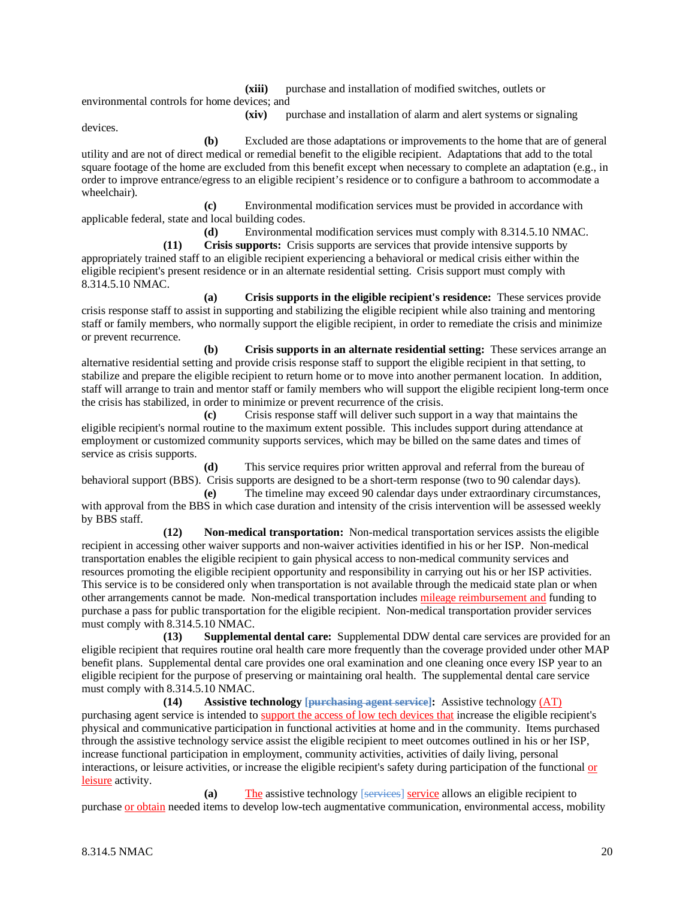**(xiii)** purchase and installation of modified switches, outlets or

environmental controls for home devices; and

**(xiv)** purchase and installation of alarm and alert systems or signaling

devices.

**(b)** Excluded are those adaptations or improvements to the home that are of general utility and are not of direct medical or remedial benefit to the eligible recipient. Adaptations that add to the total square footage of the home are excluded from this benefit except when necessary to complete an adaptation (e.g., in order to improve entrance/egress to an eligible recipient's residence or to configure a bathroom to accommodate a wheelchair).

**(c)** Environmental modification services must be provided in accordance with applicable federal, state and local building codes.

**(d)** Environmental modification services must comply with 8.314.5.10 NMAC.

**(11) Crisis supports:** Crisis supports are services that provide intensive supports by appropriately trained staff to an eligible recipient experiencing a behavioral or medical crisis either within the eligible recipient's present residence or in an alternate residential setting. Crisis support must comply with 8.314.5.10 NMAC.

**(a) Crisis supports in the eligible recipient's residence:** These services provide crisis response staff to assist in supporting and stabilizing the eligible recipient while also training and mentoring staff or family members, who normally support the eligible recipient, in order to remediate the crisis and minimize or prevent recurrence.

**(b) Crisis supports in an alternate residential setting:** These services arrange an alternative residential setting and provide crisis response staff to support the eligible recipient in that setting, to stabilize and prepare the eligible recipient to return home or to move into another permanent location. In addition, staff will arrange to train and mentor staff or family members who will support the eligible recipient long-term once the crisis has stabilized, in order to minimize or prevent recurrence of the crisis.

**(c)** Crisis response staff will deliver such support in a way that maintains the eligible recipient's normal routine to the maximum extent possible. This includes support during attendance at employment or customized community supports services, which may be billed on the same dates and times of service as crisis supports.

**(d)** This service requires prior written approval and referral from the bureau of behavioral support (BBS). Crisis supports are designed to be a short-term response (two to 90 calendar days).

**(e)** The timeline may exceed 90 calendar days under extraordinary circumstances, with approval from the BBS in which case duration and intensity of the crisis intervention will be assessed weekly by BBS staff.

**(12) Non-medical transportation:** Non-medical transportation services assists the eligible recipient in accessing other waiver supports and non-waiver activities identified in his or her ISP. Non-medical transportation enables the eligible recipient to gain physical access to non-medical community services and resources promoting the eligible recipient opportunity and responsibility in carrying out his or her ISP activities. This service is to be considered only when transportation is not available through the medicaid state plan or when other arrangements cannot be made. Non-medical transportation includes mileage reimbursement and funding to purchase a pass for public transportation for the eligible recipient. Non-medical transportation provider services must comply with 8.314.5.10 NMAC.

**(13) Supplemental dental care:** Supplemental DDW dental care services are provided for an eligible recipient that requires routine oral health care more frequently than the coverage provided under other MAP benefit plans. Supplemental dental care provides one oral examination and one cleaning once every ISP year to an eligible recipient for the purpose of preserving or maintaining oral health. The supplemental dental care service must comply with 8.314.5.10 NMAC.

**(14) Assistive technology [purchasing agent service]:** Assistive technology (AT) purchasing agent service is intended to support the access of low tech devices that increase the eligible recipient's physical and communicative participation in functional activities at home and in the community. Items purchased through the assistive technology service assist the eligible recipient to meet outcomes outlined in his or her ISP, increase functional participation in employment, community activities, activities of daily living, personal interactions, or leisure activities, or increase the eligible recipient's safety during participation of the functional or leisure activity.

**(a)** The assistive technology [services] service allows an eligible recipient to purchase or obtain needed items to develop low-tech augmentative communication, environmental access, mobility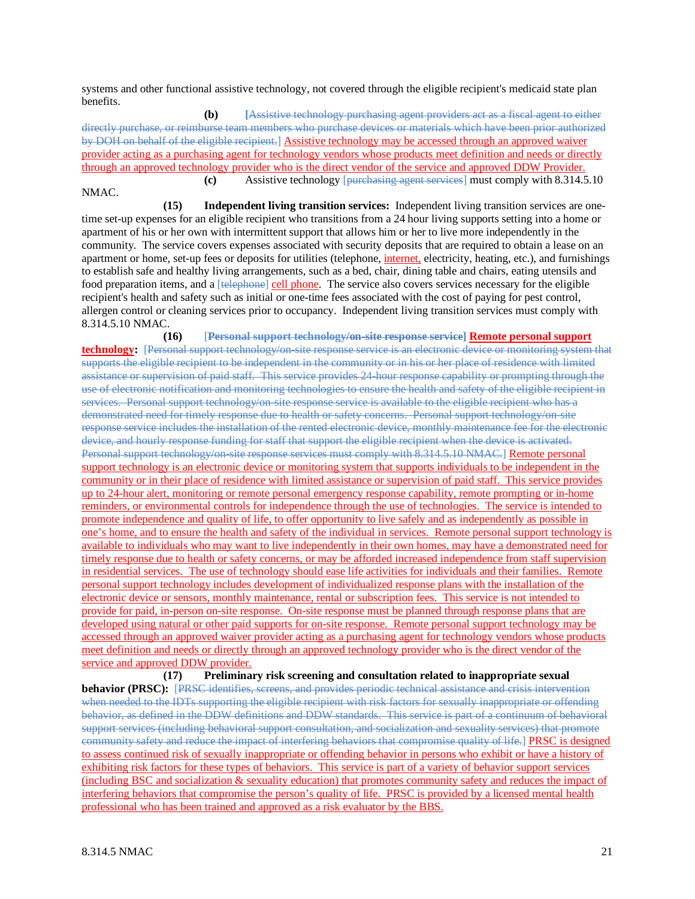systems and other functional assistive technology, not covered through the eligible recipient's medicaid state plan benefits.

**(b) [**Assistive technology purchasing agent providers act as a fiscal agent to either directly purchase, or reimburse team members who purchase devices or materials which have been prior authorized by DOH on behalf of the eligible recipient.] Assistive technology may be accessed through an approved waiver provider acting as a purchasing agent for technology vendors whose products meet definition and needs or directly through an approved technology provider who is the direct vendor of the service and approved DDW Provider. **(c)** Assistive technology [purchasing agent services] must comply with 8.314.5.10 NMAC.

**(15) Independent living transition services:** Independent living transition services are onetime set-up expenses for an eligible recipient who transitions from a 24 hour living supports setting into a home or apartment of his or her own with intermittent support that allows him or her to live more independently in the community. The service covers expenses associated with security deposits that are required to obtain a lease on an apartment or home, set-up fees or deposits for utilities (telephone, internet, electricity, heating, etc.), and furnishings to establish safe and healthy living arrangements, such as a bed, chair, dining table and chairs, eating utensils and food preparation items, and a [telephone] cell phone. The service also covers services necessary for the eligible recipient's health and safety such as initial or one-time fees associated with the cost of paying for pest control, allergen control or cleaning services prior to occupancy. Independent living transition services must comply with 8.314.5.10 NMAC.

**(16)** [**Personal support technology/on-site response service] Remote personal support technology:** [Personal support technology/on-site response service is an electronic device or monitoring system that supports the eligible recipient to be independent in the community or in his or her place of residence with limited assistance or supervision of paid staff. This service provides 24-hour response capability or prompting through the use of electronic notification and monitoring technologies to ensure the health and safety of the eligible recipient in services. Personal support technology/on-site response service is available to the eligible recipient who has a demonstrated need for timely response due to health or safety concerns. Personal support technology/on-site response service includes the installation of the rented electronic device, monthly maintenance fee for the electronic device, and hourly response funding for staff that support the eligible recipient when the device is activated. Personal support technology/on-site response services must comply with 8.314.5.10 NMAC.] Remote personal support technology is an electronic device or monitoring system that supports individuals to be independent in the community or in their place of residence with limited assistance or supervision of paid staff. This service provides up to 24-hour alert, monitoring or remote personal emergency response capability, remote prompting or in-home reminders, or environmental controls for independence through the use of technologies. The service is intended to promote independence and quality of life, to offer opportunity to live safely and as independently as possible in one's home, and to ensure the health and safety of the individual in services. Remote personal support technology is available to individuals who may want to live independently in their own homes, may have a demonstrated need for timely response due to health or safety concerns, or may be afforded increased independence from staff supervision in residential services. The use of technology should ease life activities for individuals and their families. Remote personal support technology includes development of individualized response plans with the installation of the electronic device or sensors, monthly maintenance, rental or subscription fees. This service is not intended to provide for paid, in-person on-site response. On-site response must be planned through response plans that are developed using natural or other paid supports for on-site response. Remote personal support technology may be accessed through an approved waiver provider acting as a purchasing agent for technology vendors whose products meet definition and needs or directly through an approved technology provider who is the direct vendor of the service and approved DDW provider.

**(17) Preliminary risk screening and consultation related to inappropriate sexual behavior (PRSC):** [PRSC identifies, screens, and provides periodic technical assistance and crisis intervention when needed to the IDTs supporting the eligible recipient with risk factors for sexually inappropriate or offending behavior, as defined in the DDW definitions and DDW standards. This service is part of a continuum of behavioral support services (including behavioral support consultation, and socialization and sexuality services) that promote community safety and reduce the impact of interfering behaviors that compromise quality of life.] PRSC is designed to assess continued risk of sexually inappropriate or offending behavior in persons who exhibit or have a history of exhibiting risk factors for these types of behaviors. This service is part of a variety of behavior support services (including BSC and socialization & sexuality education) that promotes community safety and reduces the impact of interfering behaviors that compromise the person's quality of life. PRSC is provided by a licensed mental health professional who has been trained and approved as a risk evaluator by the BBS.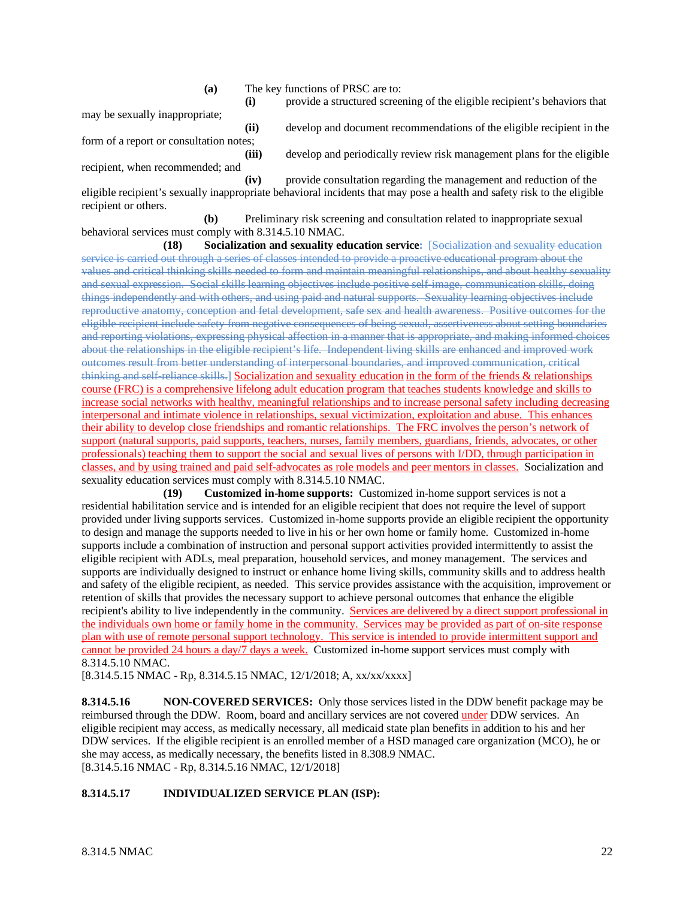**(a)** The key functions of PRSC are to:

may be sexually inappropriate;

form of a report or consultation notes;

recipient, when recommended; and

**(ii)** develop and document recommendations of the eligible recipient in the **(iii)** develop and periodically review risk management plans for the eligible

**(i)** provide a structured screening of the eligible recipient's behaviors that

**(iv)** provide consultation regarding the management and reduction of the eligible recipient's sexually inappropriate behavioral incidents that may pose a health and safety risk to the eligible recipient or others.

**(b)** Preliminary risk screening and consultation related to inappropriate sexual behavioral services must comply with 8.314.5.10 NMAC.

**(18) Socialization and sexuality education service:** [Socialization and sexuality education service is carried out through a series of classes intended to provide a proactive educational program about the values and critical thinking skills needed to form and maintain meaningful relationships, and about healthy sexuality and sexual expression. Social skills learning objectives include positive self-image, communication skills, doing things independently and with others, and using paid and natural supports. Sexuality learning objectives include reproductive anatomy, conception and fetal development, safe sex and health awareness. Positive outcomes for the eligible recipient include safety from negative consequences of being sexual, assertiveness about setting boundaries and reporting violations, expressing physical affection in a manner that is appropriate, and making informed choices about the relationships in the eligible recipient's life. Independent living skills are enhanced and improved work outcomes result from better understanding of interpersonal boundaries, and improved communication, critical thinking and self-reliance skills.] Socialization and sexuality education in the form of the friends & relationships course (FRC) is a comprehensive lifelong adult education program that teaches students knowledge and skills to increase social networks with healthy, meaningful relationships and to increase personal safety including decreasing interpersonal and intimate violence in relationships, sexual victimization, exploitation and abuse. This enhances their ability to develop close friendships and romantic relationships. The FRC involves the person's network of support (natural supports, paid supports, teachers, nurses, family members, guardians, friends, advocates, or other professionals) teaching them to support the social and sexual lives of persons with I/DD, through participation in classes, and by using trained and paid self-advocates as role models and peer mentors in classes. Socialization and sexuality education services must comply with 8.314.5.10 NMAC.

**(19) Customized in-home supports:** Customized in-home support services is not a residential habilitation service and is intended for an eligible recipient that does not require the level of support provided under living supports services. Customized in-home supports provide an eligible recipient the opportunity to design and manage the supports needed to live in his or her own home or family home. Customized in-home supports include a combination of instruction and personal support activities provided intermittently to assist the eligible recipient with ADLs, meal preparation, household services, and money management. The services and supports are individually designed to instruct or enhance home living skills, community skills and to address health and safety of the eligible recipient, as needed. This service provides assistance with the acquisition, improvement or retention of skills that provides the necessary support to achieve personal outcomes that enhance the eligible recipient's ability to live independently in the community. Services are delivered by a direct support professional in the individuals own home or family home in the community. Services may be provided as part of on-site response plan with use of remote personal support technology. This service is intended to provide intermittent support and cannot be provided 24 hours a day/7 days a week. Customized in-home support services must comply with 8.314.5.10 NMAC.

[8.314.5.15 NMAC - Rp, 8.314.5.15 NMAC, 12/1/2018; A, xx/xx/xxxx]

**8.314.5.16 NON-COVERED SERVICES:** Only those services listed in the DDW benefit package may be reimbursed through the DDW. Room, board and ancillary services are not covered under DDW services. An eligible recipient may access, as medically necessary, all medicaid state plan benefits in addition to his and her DDW services. If the eligible recipient is an enrolled member of a HSD managed care organization (MCO), he or she may access, as medically necessary, the benefits listed in 8.308.9 NMAC. [8.314.5.16 NMAC - Rp, 8.314.5.16 NMAC, 12/1/2018]

# **8.314.5.17 INDIVIDUALIZED SERVICE PLAN (ISP):**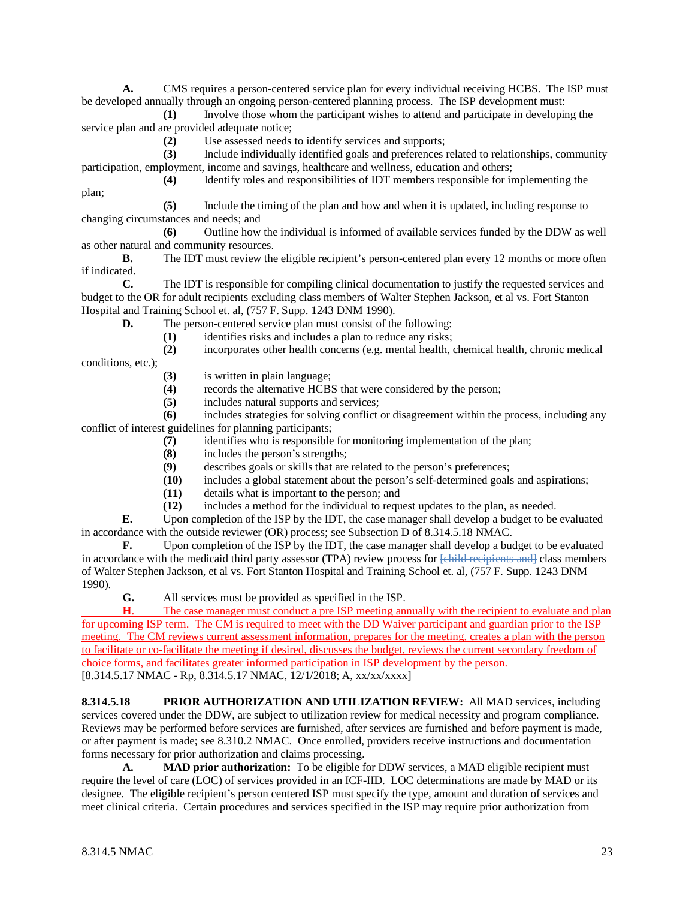**A.** CMS requires a person-centered service plan for every individual receiving HCBS. The ISP must be developed annually through an ongoing person-centered planning process. The ISP development must:

**(1)** Involve those whom the participant wishes to attend and participate in developing the service plan and are provided adequate notice;

**(2)** Use assessed needs to identify services and supports;

**(3)** Include individually identified goals and preferences related to relationships, community participation, employment, income and savings, healthcare and wellness, education and others;

**(4)** Identify roles and responsibilities of IDT members responsible for implementing the plan;

**(5)** Include the timing of the plan and how and when it is updated, including response to changing circumstances and needs; and

**(6)** Outline how the individual is informed of available services funded by the DDW as well as other natural and community resources.

**B.** The IDT must review the eligible recipient's person-centered plan every 12 months or more often if indicated.

**C.** The IDT is responsible for compiling clinical documentation to justify the requested services and budget to the OR for adult recipients excluding class members of Walter Stephen Jackson, et al vs. Fort Stanton Hospital and Training School et. al, (757 F. Supp. 1243 DNM 1990).

**D.** The person-centered service plan must consist of the following:

**(1)** identifies risks and includes a plan to reduce any risks;

**(2)** incorporates other health concerns (e.g. mental health, chemical health, chronic medical

conditions, etc.);

- (3) is written in plain language;<br>(4) records the alternative HCB;
- records the alternative HCBS that were considered by the person;
- **(5)** includes natural supports and services;

**(6)** includes strategies for solving conflict or disagreement within the process, including any conflict of interest guidelines for planning participants;

- **(7)** identifies who is responsible for monitoring implementation of the plan;
- **(8)** includes the person's strengths;
- (9) describes goals or skills that are related to the person's preferences;<br>(10) includes a global statement about the person's self-determined goals
- includes a global statement about the person's self-determined goals and aspirations;
- **(11)** details what is important to the person; and
- **(12)** includes a method for the individual to request updates to the plan, as needed.

**E.** Upon completion of the ISP by the IDT, the case manager shall develop a budget to be evaluated in accordance with the outside reviewer (OR) process; see Subsection D of 8.314.5.18 NMAC.

**F.** Upon completion of the ISP by the IDT, the case manager shall develop a budget to be evaluated in accordance with the medicaid third party assessor (TPA) review process for [child recipients and] class members of Walter Stephen Jackson, et al vs. Fort Stanton Hospital and Training School et. al, (757 F. Supp. 1243 DNM 1990).

**G.** All services must be provided as specified in the ISP.

**H.** The case manager must conduct a pre ISP meeting annually with the recipient to evaluate and plan for upcoming ISP term. The CM is required to meet with the DD Waiver participant and guardian prior to the ISP meeting. The CM reviews current assessment information, prepares for the meeting, creates a plan with the person to facilitate or co-facilitate the meeting if desired, discusses the budget, reviews the current secondary freedom of choice forms, and facilitates greater informed participation in ISP development by the person. [8.314.5.17 NMAC - Rp, 8.314.5.17 NMAC, 12/1/2018; A, xx/xx/xxxx]

**8.314.5.18 PRIOR AUTHORIZATION AND UTILIZATION REVIEW:** All MAD services, including services covered under the DDW, are subject to utilization review for medical necessity and program compliance. Reviews may be performed before services are furnished, after services are furnished and before payment is made, or after payment is made; see 8.310.2 NMAC. Once enrolled, providers receive instructions and documentation forms necessary for prior authorization and claims processing.

**A. MAD prior authorization:** To be eligible for DDW services, a MAD eligible recipient must require the level of care (LOC) of services provided in an ICF-IID. LOC determinations are made by MAD or its designee. The eligible recipient's person centered ISP must specify the type, amount and duration of services and meet clinical criteria. Certain procedures and services specified in the ISP may require prior authorization from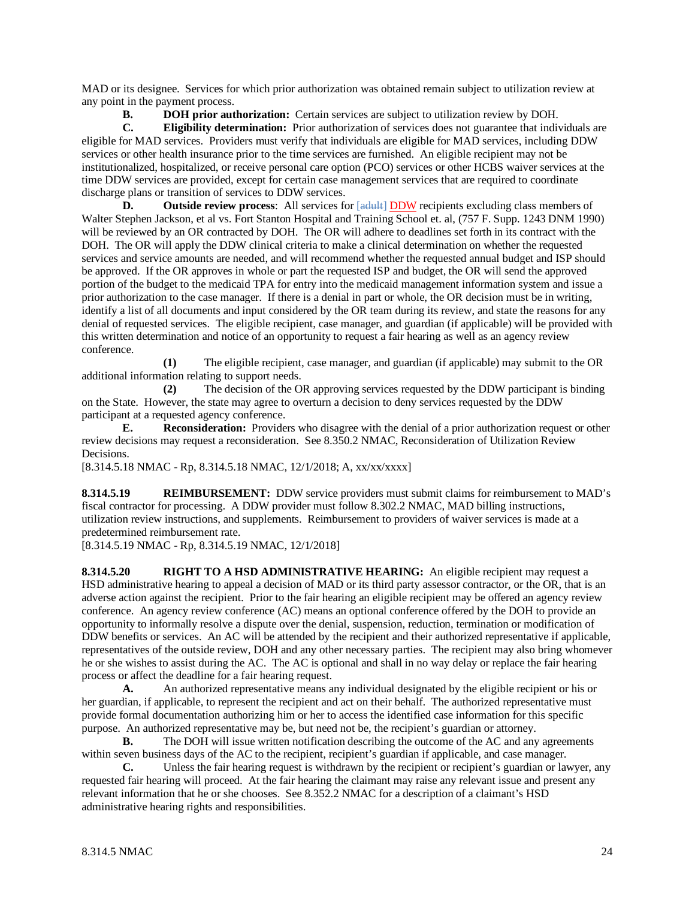MAD or its designee. Services for which prior authorization was obtained remain subject to utilization review at any point in the payment process.

**B. DOH prior authorization:** Certain services are subject to utilization review by DOH.

**C. Eligibility determination:** Prior authorization of services does not guarantee that individuals are eligible for MAD services. Providers must verify that individuals are eligible for MAD services, including DDW services or other health insurance prior to the time services are furnished. An eligible recipient may not be institutionalized, hospitalized, or receive personal care option (PCO) services or other HCBS waiver services at the time DDW services are provided, except for certain case management services that are required to coordinate discharge plans or transition of services to DDW services.

**D.** Outside review process: All services for [adult] **DDW** recipients excluding class members of Walter Stephen Jackson, et al vs. Fort Stanton Hospital and Training School et. al, (757 F. Supp. 1243 DNM 1990) will be reviewed by an OR contracted by DOH. The OR will adhere to deadlines set forth in its contract with the DOH. The OR will apply the DDW clinical criteria to make a clinical determination on whether the requested services and service amounts are needed, and will recommend whether the requested annual budget and ISP should be approved. If the OR approves in whole or part the requested ISP and budget, the OR will send the approved portion of the budget to the medicaid TPA for entry into the medicaid management information system and issue a prior authorization to the case manager. If there is a denial in part or whole, the OR decision must be in writing, identify a list of all documents and input considered by the OR team during its review, and state the reasons for any denial of requested services. The eligible recipient, case manager, and guardian (if applicable) will be provided with this written determination and notice of an opportunity to request a fair hearing as well as an agency review conference.

**(1)** The eligible recipient, case manager, and guardian (if applicable) may submit to the OR additional information relating to support needs.

**(2)** The decision of the OR approving services requested by the DDW participant is binding on the State. However, the state may agree to overturn a decision to deny services requested by the DDW participant at a requested agency conference.

**E. Reconsideration:** Providers who disagree with the denial of a prior authorization request or other review decisions may request a reconsideration. See 8.350.2 NMAC, Reconsideration of Utilization Review Decisions.

[8.314.5.18 NMAC - Rp, 8.314.5.18 NMAC, 12/1/2018; A, xx/xx/xxxx]

**8.314.5.19 REIMBURSEMENT:** DDW service providers must submit claims for reimbursement to MAD's fiscal contractor for processing. A DDW provider must follow 8.302.2 NMAC, MAD billing instructions, utilization review instructions, and supplements. Reimbursement to providers of waiver services is made at a predetermined reimbursement rate.

[8.314.5.19 NMAC - Rp, 8.314.5.19 NMAC, 12/1/2018]

**8.314.5.20 RIGHT TO A HSD ADMINISTRATIVE HEARING:** An eligible recipient may request a HSD administrative hearing to appeal a decision of MAD or its third party assessor contractor, or the OR, that is an adverse action against the recipient. Prior to the fair hearing an eligible recipient may be offered an agency review conference. An agency review conference (AC) means an optional conference offered by the DOH to provide an opportunity to informally resolve a dispute over the denial, suspension, reduction, termination or modification of DDW benefits or services. An AC will be attended by the recipient and their authorized representative if applicable, representatives of the outside review, DOH and any other necessary parties. The recipient may also bring whomever he or she wishes to assist during the AC. The AC is optional and shall in no way delay or replace the fair hearing process or affect the deadline for a fair hearing request.

**A.** An authorized representative means any individual designated by the eligible recipient or his or her guardian, if applicable, to represent the recipient and act on their behalf. The authorized representative must provide formal documentation authorizing him or her to access the identified case information for this specific purpose. An authorized representative may be, but need not be, the recipient's guardian or attorney.

**B.** The DOH will issue written notification describing the outcome of the AC and any agreements within seven business days of the AC to the recipient, recipient's guardian if applicable, and case manager.

**C.** Unless the fair hearing request is withdrawn by the recipient or recipient's guardian or lawyer, any requested fair hearing will proceed. At the fair hearing the claimant may raise any relevant issue and present any relevant information that he or she chooses. See 8.352.2 NMAC for a description of a claimant's HSD administrative hearing rights and responsibilities.